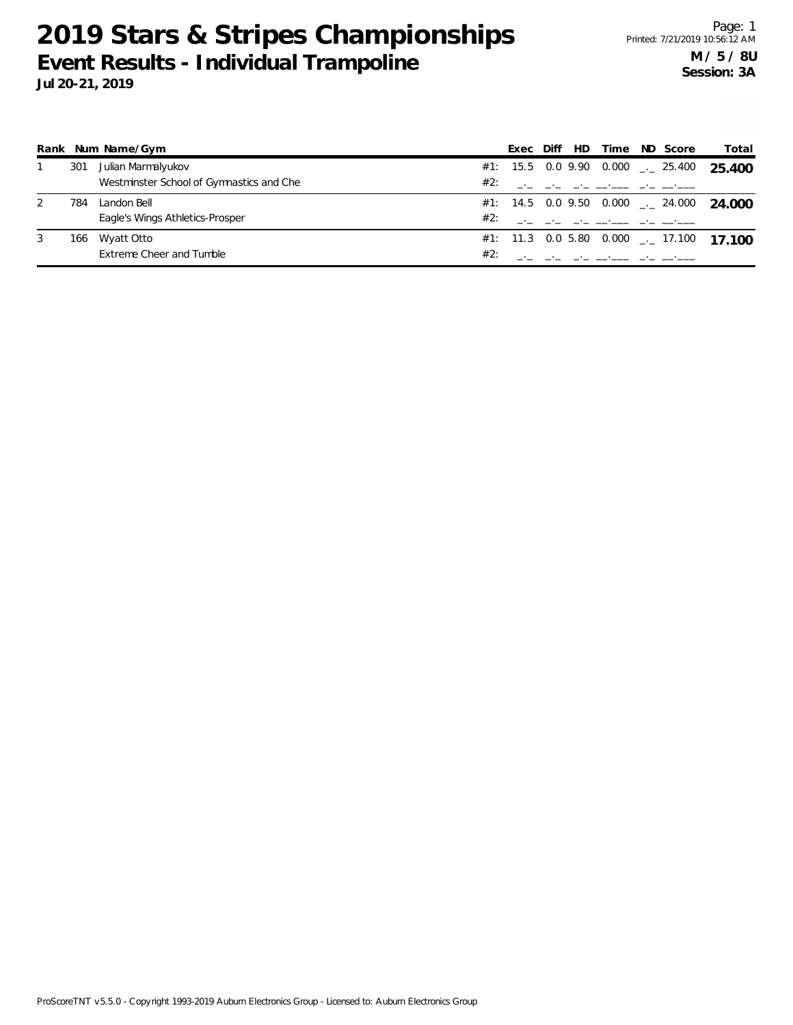|   |     | Rank Num Name/Gym                        |     | Exec | Diff | HD Time                                                                                   | ND Score                                          | Total                                    |
|---|-----|------------------------------------------|-----|------|------|-------------------------------------------------------------------------------------------|---------------------------------------------------|------------------------------------------|
|   | 301 | Julian Marmalyukov                       |     |      |      |                                                                                           | #1: 15.5 0.0 9.90 0.000 $\leq$ 25.400             | 25.400                                   |
|   |     | Westminster School of Gymnastics and Che | #2: |      |      | the contract of the contract of the contract of the contract of                           |                                                   |                                          |
|   | 784 | Landon Bell                              |     |      |      |                                                                                           | #1: 14.5  0.0  9.50  0.000 <sub>_</sub> .  24.000 | 24.000                                   |
|   |     | Eagle's Wings Athletics-Prosper          | #2∵ |      |      | the control of the control of the control of the control of the control of the control of |                                                   |                                          |
| 3 | 166 | Wyatt Otto                               |     |      |      |                                                                                           |                                                   | #1: 11.3 0.0 5.80 0.000 __ 17.100 17 100 |
|   |     | Extreme Cheer and Tumble                 | #2: |      |      |                                                                                           |                                                   |                                          |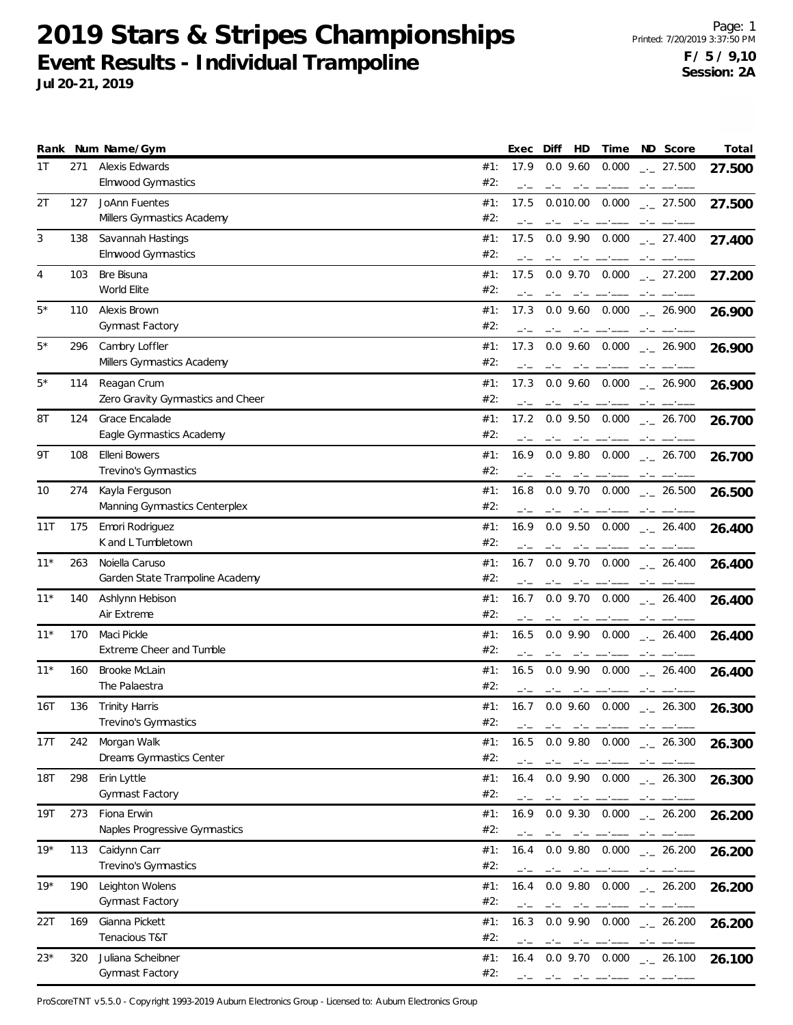**Jul 20-21, 2019**

|       |     | Rank Num Name/Gym                                 |            | Exec         | HD<br>Diff                                                                                                                                                                                                                                                                                                                                                                                                                                                                         | Time                                                                                                                                                                                                                                                                                                                                                                                                                                                                                                                                                       | ND Score                                                     | Total  |
|-------|-----|---------------------------------------------------|------------|--------------|------------------------------------------------------------------------------------------------------------------------------------------------------------------------------------------------------------------------------------------------------------------------------------------------------------------------------------------------------------------------------------------------------------------------------------------------------------------------------------|------------------------------------------------------------------------------------------------------------------------------------------------------------------------------------------------------------------------------------------------------------------------------------------------------------------------------------------------------------------------------------------------------------------------------------------------------------------------------------------------------------------------------------------------------------|--------------------------------------------------------------|--------|
| 1T    | 271 | Alexis Edwards<br><b>Elmwood Gymnastics</b>       | #1:<br>#2: | 17.9         | $0.0$ 9.60                                                                                                                                                                                                                                                                                                                                                                                                                                                                         | 0.000                                                                                                                                                                                                                                                                                                                                                                                                                                                                                                                                                      | $\frac{1}{2}$ 27.500                                         | 27.500 |
| 2T    | 127 | JoAnn Fuentes<br>Millers Gymnastics Academy       | #1:<br>#2: | 17.5         | 0.010.00<br>$-1$                                                                                                                                                                                                                                                                                                                                                                                                                                                                   | 0.000                                                                                                                                                                                                                                                                                                                                                                                                                                                                                                                                                      | $\frac{1}{2}$ 27.500                                         | 27.500 |
| 3     | 138 | Savannah Hastings<br>Elmwood Gymnastics           | #1:<br>#2: | 17.5         | $0.0$ 9.90<br>$-1$                                                                                                                                                                                                                                                                                                                                                                                                                                                                 | 0.000<br>________                                                                                                                                                                                                                                                                                                                                                                                                                                                                                                                                          | $-27.400$                                                    | 27.400 |
| 4     | 103 | Bre Bisuna<br>World Elite                         | #1:<br>#2: | 17.5         | $0.0$ 9.70 $0.000$                                                                                                                                                                                                                                                                                                                                                                                                                                                                 |                                                                                                                                                                                                                                                                                                                                                                                                                                                                                                                                                            | $\frac{1}{2}$ 27.200                                         | 27.200 |
| 5*    | 110 | Alexis Brown<br><b>Gymnast Factory</b>            | #1:<br>#2: | 17.3         | $0.0$ 9.60                                                                                                                                                                                                                                                                                                                                                                                                                                                                         | 0.000                                                                                                                                                                                                                                                                                                                                                                                                                                                                                                                                                      | $-26.900$                                                    | 26.900 |
| $5*$  | 296 | Cambry Loffler<br>Millers Gymnastics Academy      | #1:<br>#2: | 17.3         | $0.0$ $9.60$ $0.000$                                                                                                                                                                                                                                                                                                                                                                                                                                                               |                                                                                                                                                                                                                                                                                                                                                                                                                                                                                                                                                            | $-26.900$                                                    | 26.900 |
| 5*    | 114 | Reagan Crum<br>Zero Gravity Gymnastics and Cheer  | #1:<br>#2: | 17.3         | $0.0$ 9.60 $0.000$                                                                                                                                                                                                                                                                                                                                                                                                                                                                 |                                                                                                                                                                                                                                                                                                                                                                                                                                                                                                                                                            | $\frac{1}{2}$ 26.900                                         | 26.900 |
| 8T    | 124 | Grace Encalade<br>Eagle Gymnastics Academy        | #1:<br>#2: | 17.2         | $0.0$ 9.50<br>$-1$                                                                                                                                                                                                                                                                                                                                                                                                                                                                 | 0.000                                                                                                                                                                                                                                                                                                                                                                                                                                                                                                                                                      | $\frac{1}{2}$ 26.700<br>$-1$                                 | 26.700 |
| 9Τ    | 108 | <b>Elleni Bowers</b><br>Trevino's Gymnastics      | #1:<br>#2: | 16.9         |                                                                                                                                                                                                                                                                                                                                                                                                                                                                                    |                                                                                                                                                                                                                                                                                                                                                                                                                                                                                                                                                            | $0.0$ 9.80 $0.000$ $_{--}$ 26.700                            | 26.700 |
| 10    | 274 | Kayla Ferguson<br>Manning Gymnastics Centerplex   | #1:<br>#2: | 16.8         |                                                                                                                                                                                                                                                                                                                                                                                                                                                                                    |                                                                                                                                                                                                                                                                                                                                                                                                                                                                                                                                                            | $0.0$ 9.70 $0.000$ $_{\leftarrow}$ 26.500<br>مستحيل المستحدث | 26.500 |
| 11T   | 175 | Emori Rodriguez<br>K and L Tumbletown             | #1:<br>#2: | 16.9         | $0.0$ 9.50                                                                                                                                                                                                                                                                                                                                                                                                                                                                         | 0.000                                                                                                                                                                                                                                                                                                                                                                                                                                                                                                                                                      | $-26.400$                                                    | 26.400 |
| $11*$ | 263 | Noiella Caruso<br>Garden State Trampoline Academy | #1:<br>#2: | 16.7         | $0.0$ 9.70 $0.000$                                                                                                                                                                                                                                                                                                                                                                                                                                                                 |                                                                                                                                                                                                                                                                                                                                                                                                                                                                                                                                                            | $-26.400$                                                    | 26.400 |
| $11*$ | 140 | Ashlynn Hebison<br>Air Extreme                    | #1:<br>#2: | 16.7         |                                                                                                                                                                                                                                                                                                                                                                                                                                                                                    |                                                                                                                                                                                                                                                                                                                                                                                                                                                                                                                                                            | $0.0$ 9.70 $0.000$ $_{\leftarrow}$ 26.400                    | 26.400 |
| $11*$ | 170 | Maci Pickle<br>Extreme Cheer and Tumble           | #1:<br>#2: | 16.5<br>$-1$ | $0.0$ 9.90<br>$-1$<br>$-1$                                                                                                                                                                                                                                                                                                                                                                                                                                                         | 0.000                                                                                                                                                                                                                                                                                                                                                                                                                                                                                                                                                      | $-26.400$<br>$-1$                                            | 26.400 |
| $11*$ | 160 | Brooke McLain<br>The Palaestra                    | #1:<br>#2: | 16.5         | $0.0$ 9.90 $0.000$<br>$-1$<br>والسبب السامس                                                                                                                                                                                                                                                                                                                                                                                                                                        |                                                                                                                                                                                                                                                                                                                                                                                                                                                                                                                                                            | $-26.400$                                                    | 26.400 |
| 16T   | 136 | <b>Trinity Harris</b><br>Trevino's Gymnastics     | #1:<br>#2: | 16.7<br>$-1$ | and the component of the control of the control of the control of the control of the control of the control of                                                                                                                                                                                                                                                                                                                                                                     |                                                                                                                                                                                                                                                                                                                                                                                                                                                                                                                                                            | $0.0$ 9.60 $0.000$ $_{\leftarrow}$ 26.300                    | 26.300 |
| 17T   | 242 | Morgan Walk<br>Dreams Gymnastics Center           | #1:<br>#2: | 16.5<br>$-1$ | $-1$<br>$\frac{1}{2} \left( \frac{1}{2} \right) \left( \frac{1}{2} \right) \left( \frac{1}{2} \right) \left( \frac{1}{2} \right) \left( \frac{1}{2} \right) \left( \frac{1}{2} \right) \left( \frac{1}{2} \right) \left( \frac{1}{2} \right) \left( \frac{1}{2} \right) \left( \frac{1}{2} \right) \left( \frac{1}{2} \right) \left( \frac{1}{2} \right) \left( \frac{1}{2} \right) \left( \frac{1}{2} \right) \left( \frac{1}{2} \right) \left( \frac{1}{2} \right) \left( \frac$ |                                                                                                                                                                                                                                                                                                                                                                                                                                                                                                                                                            | $0.0$ 9.80 $0.000$ $_{\leftarrow}$ 26.300                    | 26.300 |
| 18T   | 298 | Erin Lyttle<br><b>Gymnast Factory</b>             | #1:<br>#2: | 16.4         | $0.0$ 9.90 $0.000$<br>$-1$                                                                                                                                                                                                                                                                                                                                                                                                                                                         |                                                                                                                                                                                                                                                                                                                                                                                                                                                                                                                                                            | $-26.300$<br>$-1$                                            | 26.300 |
| 19T   | 273 | Fiona Erwin<br>Naples Progressive Gymnastics      | #1:<br>#2: | 16.9         | $0.0$ 9.30                                                                                                                                                                                                                                                                                                                                                                                                                                                                         | 0.000                                                                                                                                                                                                                                                                                                                                                                                                                                                                                                                                                      | $-26.200$                                                    | 26.200 |
| $19*$ | 113 | Caidynn Carr<br>Trevino's Gymnastics              | #1:<br>#2: | 16.4         | $0.0$ 9.80 $0.000$<br>المستناد المساري والمسارين والمساري                                                                                                                                                                                                                                                                                                                                                                                                                          |                                                                                                                                                                                                                                                                                                                                                                                                                                                                                                                                                            | $\frac{1}{2}$ 26.200                                         | 26.200 |
| $19*$ | 190 | Leighton Wolens<br>Gymnast Factory                | #1:<br>#2: | 16.4         | $0.0$ 9.80 $0.000$                                                                                                                                                                                                                                                                                                                                                                                                                                                                 | $\begin{tabular}{ll} \multicolumn{2}{l}{{\color{red}\boldsymbol{m}}}\\ \multicolumn{2}{l}{\color{blue}\boldsymbol{m}}\\ \multicolumn{2}{l}{\color{blue}\boldsymbol{m}}\\ \multicolumn{2}{l}{\color{blue}\boldsymbol{m}}\\ \multicolumn{2}{l}{\color{blue}\boldsymbol{m}}\\ \multicolumn{2}{l}{\color{blue}\boldsymbol{m}}\\ \multicolumn{2}{l}{\color{blue}\boldsymbol{m}}\\ \multicolumn{2}{l}{\color{blue}\boldsymbol{m}}\\ \multicolumn{2}{l}{\color{blue}\boldsymbol{m}}\\ \multicolumn{2}{l}{\color{blue}\boldsymbol{m}}\\ \multicolumn{2}{l}{\color$ | $\frac{1}{2}$ 26.200                                         | 26.200 |
| 22T   | 169 | Gianna Pickett<br>Tenacious T&T                   | #1:<br>#2: | 16.3<br>$-1$ | $0.0$ 9.90<br>$-1$<br>$-1$                                                                                                                                                                                                                                                                                                                                                                                                                                                         | 0.000                                                                                                                                                                                                                                                                                                                                                                                                                                                                                                                                                      | $\frac{1}{2}$ 26.200<br>$-1$                                 | 26.200 |
| 23*   | 320 | Juliana Scheibner<br>Gymnast Factory              | #1:<br>#2: | 16.4         | والمستنبذ المتحامل المساحين                                                                                                                                                                                                                                                                                                                                                                                                                                                        |                                                                                                                                                                                                                                                                                                                                                                                                                                                                                                                                                            | $0.0$ 9.70 $0.000$ $_{\leftarrow}$ 26.100                    | 26.100 |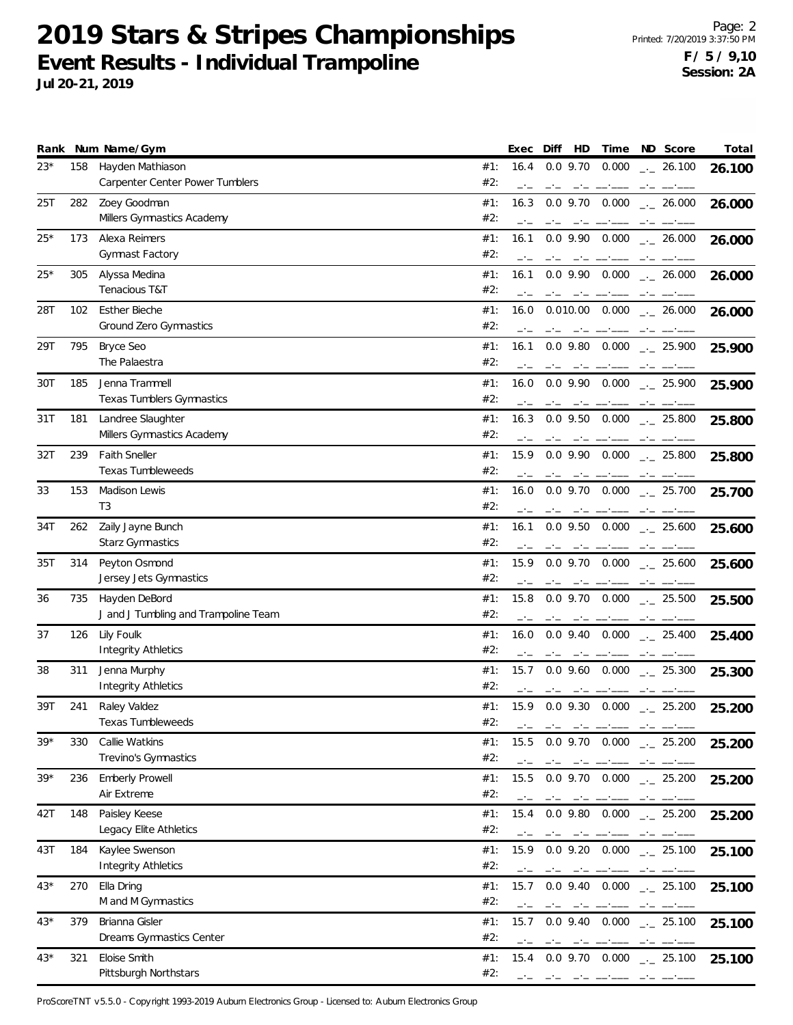Page: 2 Printed: 7/20/2019 3:37:50 PM **F / 5 / 9,10 Session: 2A**

**Jul 20-21, 2019**

|       |     | Rank Num Name/Gym                          |            | Exec | Diff       | HD                                                                                                                                                                                                                                                                                                                                                                                           | Time                                                                                                                                                                                                                                                                                                                                                                                                                                                                       |      | ND Score                                                                                                                                                                                                                                                                                                                                                                                                                                                                   | Total  |
|-------|-----|--------------------------------------------|------------|------|------------|----------------------------------------------------------------------------------------------------------------------------------------------------------------------------------------------------------------------------------------------------------------------------------------------------------------------------------------------------------------------------------------------|----------------------------------------------------------------------------------------------------------------------------------------------------------------------------------------------------------------------------------------------------------------------------------------------------------------------------------------------------------------------------------------------------------------------------------------------------------------------------|------|----------------------------------------------------------------------------------------------------------------------------------------------------------------------------------------------------------------------------------------------------------------------------------------------------------------------------------------------------------------------------------------------------------------------------------------------------------------------------|--------|
| 23*   | 158 | Hayden Mathiason                           | #1:        | 16.4 |            | $0.0$ 9.70                                                                                                                                                                                                                                                                                                                                                                                   | 0.000                                                                                                                                                                                                                                                                                                                                                                                                                                                                      |      | $-26.100$                                                                                                                                                                                                                                                                                                                                                                                                                                                                  | 26.100 |
|       |     | Carpenter Center Power Tumblers            | #2:        | $-1$ | $-1$       |                                                                                                                                                                                                                                                                                                                                                                                              | $\frac{1}{2} \left( \frac{1}{2} \right) \left( \frac{1}{2} \right) \left( \frac{1}{2} \right) \left( \frac{1}{2} \right) \left( \frac{1}{2} \right) \left( \frac{1}{2} \right) \left( \frac{1}{2} \right) \left( \frac{1}{2} \right) \left( \frac{1}{2} \right) \left( \frac{1}{2} \right) \left( \frac{1}{2} \right) \left( \frac{1}{2} \right) \left( \frac{1}{2} \right) \left( \frac{1}{2} \right) \left( \frac{1}{2} \right) \left( \frac{1}{2} \right) \left( \frac$ |      | $\frac{1}{2} \left( \frac{1}{2} \right) \left( \frac{1}{2} \right) \left( \frac{1}{2} \right) \left( \frac{1}{2} \right) \left( \frac{1}{2} \right) \left( \frac{1}{2} \right) \left( \frac{1}{2} \right) \left( \frac{1}{2} \right) \left( \frac{1}{2} \right) \left( \frac{1}{2} \right) \left( \frac{1}{2} \right) \left( \frac{1}{2} \right) \left( \frac{1}{2} \right) \left( \frac{1}{2} \right) \left( \frac{1}{2} \right) \left( \frac{1}{2} \right) \left( \frac$ |        |
| 25T   | 282 | Zoey Goodman                               | #1:        | 16.3 |            | $0.0$ 9.70                                                                                                                                                                                                                                                                                                                                                                                   | 0.000                                                                                                                                                                                                                                                                                                                                                                                                                                                                      |      | $-26.000$                                                                                                                                                                                                                                                                                                                                                                                                                                                                  | 26.000 |
|       |     | Millers Gymnastics Academy                 | #2:        |      |            |                                                                                                                                                                                                                                                                                                                                                                                              |                                                                                                                                                                                                                                                                                                                                                                                                                                                                            |      |                                                                                                                                                                                                                                                                                                                                                                                                                                                                            |        |
| 25*   | 173 | Alexa Reimers                              | #1:        | 16.1 |            | $0.0$ 9.90                                                                                                                                                                                                                                                                                                                                                                                   | 0.000                                                                                                                                                                                                                                                                                                                                                                                                                                                                      |      | $\frac{1}{2}$ 26.000                                                                                                                                                                                                                                                                                                                                                                                                                                                       | 26.000 |
|       |     | Gymnast Factory                            | #2:        |      |            |                                                                                                                                                                                                                                                                                                                                                                                              |                                                                                                                                                                                                                                                                                                                                                                                                                                                                            |      |                                                                                                                                                                                                                                                                                                                                                                                                                                                                            |        |
| $25*$ | 305 | Alyssa Medina                              | #1:        | 16.1 |            | $0.0$ 9.90                                                                                                                                                                                                                                                                                                                                                                                   | 0.000                                                                                                                                                                                                                                                                                                                                                                                                                                                                      |      | $\frac{1}{2}$ 26.000                                                                                                                                                                                                                                                                                                                                                                                                                                                       | 26.000 |
|       |     | Tenacious T&T                              | #2:        |      |            | $-1$                                                                                                                                                                                                                                                                                                                                                                                         |                                                                                                                                                                                                                                                                                                                                                                                                                                                                            | $-1$ |                                                                                                                                                                                                                                                                                                                                                                                                                                                                            |        |
| 28T   | 102 | <b>Esther Bieche</b>                       | #1:        | 16.0 |            | 0.010.00                                                                                                                                                                                                                                                                                                                                                                                     | 0.000                                                                                                                                                                                                                                                                                                                                                                                                                                                                      |      | $-26.000$                                                                                                                                                                                                                                                                                                                                                                                                                                                                  |        |
|       |     | Ground Zero Gymnastics                     | #2:        |      |            |                                                                                                                                                                                                                                                                                                                                                                                              |                                                                                                                                                                                                                                                                                                                                                                                                                                                                            |      |                                                                                                                                                                                                                                                                                                                                                                                                                                                                            | 26.000 |
| 29T   | 795 |                                            | #1:        | 16.1 | $-1$       |                                                                                                                                                                                                                                                                                                                                                                                              | 0.000                                                                                                                                                                                                                                                                                                                                                                                                                                                                      | $-1$ |                                                                                                                                                                                                                                                                                                                                                                                                                                                                            |        |
|       |     | Bryce Seo<br>The Palaestra                 | #2:        |      |            | $0.0$ 9.80                                                                                                                                                                                                                                                                                                                                                                                   |                                                                                                                                                                                                                                                                                                                                                                                                                                                                            |      | $-25.900$                                                                                                                                                                                                                                                                                                                                                                                                                                                                  | 25.900 |
|       |     |                                            |            |      |            |                                                                                                                                                                                                                                                                                                                                                                                              |                                                                                                                                                                                                                                                                                                                                                                                                                                                                            |      |                                                                                                                                                                                                                                                                                                                                                                                                                                                                            |        |
| 30T   | 185 | Jenna Trammell                             | #1:        | 16.0 |            | $0.0$ 9.90                                                                                                                                                                                                                                                                                                                                                                                   | 0.000                                                                                                                                                                                                                                                                                                                                                                                                                                                                      |      | $-25.900$                                                                                                                                                                                                                                                                                                                                                                                                                                                                  | 25.900 |
|       |     | Texas Tumblers Gymnastics                  | #2:        |      | $-1$       | $-1$                                                                                                                                                                                                                                                                                                                                                                                         |                                                                                                                                                                                                                                                                                                                                                                                                                                                                            |      |                                                                                                                                                                                                                                                                                                                                                                                                                                                                            |        |
| 31 T  | 181 | Landree Slaughter                          | #1:        | 16.3 |            | $0.0$ 9.50                                                                                                                                                                                                                                                                                                                                                                                   | 0.000                                                                                                                                                                                                                                                                                                                                                                                                                                                                      |      | $\frac{1}{2}$ 25.800                                                                                                                                                                                                                                                                                                                                                                                                                                                       | 25.800 |
|       |     | Millers Gymnastics Academy                 | #2:        |      | $-1$       |                                                                                                                                                                                                                                                                                                                                                                                              | _______                                                                                                                                                                                                                                                                                                                                                                                                                                                                    | $-1$ |                                                                                                                                                                                                                                                                                                                                                                                                                                                                            |        |
| 32T   | 239 | <b>Faith Sneller</b>                       | #1:        | 15.9 |            | $0.0$ 9.90                                                                                                                                                                                                                                                                                                                                                                                   | 0.000                                                                                                                                                                                                                                                                                                                                                                                                                                                                      |      | $\frac{1}{2}$ 25.800                                                                                                                                                                                                                                                                                                                                                                                                                                                       | 25.800 |
|       |     | Texas Tumbleweeds                          | #2:        |      |            |                                                                                                                                                                                                                                                                                                                                                                                              |                                                                                                                                                                                                                                                                                                                                                                                                                                                                            |      |                                                                                                                                                                                                                                                                                                                                                                                                                                                                            |        |
| 33    | 153 | Madison Lewis                              | #1:        | 16.0 |            | $0.0$ 9.70                                                                                                                                                                                                                                                                                                                                                                                   | 0.000                                                                                                                                                                                                                                                                                                                                                                                                                                                                      |      | $\frac{1}{2}$ 25.700                                                                                                                                                                                                                                                                                                                                                                                                                                                       | 25.700 |
|       |     | T <sub>3</sub>                             | #2:        |      |            |                                                                                                                                                                                                                                                                                                                                                                                              |                                                                                                                                                                                                                                                                                                                                                                                                                                                                            |      |                                                                                                                                                                                                                                                                                                                                                                                                                                                                            |        |
| 34T   | 262 | Zaily Jayne Bunch                          | #1:        | 16.1 |            | $0.0$ 9.50                                                                                                                                                                                                                                                                                                                                                                                   | 0.000                                                                                                                                                                                                                                                                                                                                                                                                                                                                      |      | $\frac{1}{2}$ 25.600                                                                                                                                                                                                                                                                                                                                                                                                                                                       | 25.600 |
|       |     | <b>Starz Gymnastics</b>                    | #2:        |      |            |                                                                                                                                                                                                                                                                                                                                                                                              |                                                                                                                                                                                                                                                                                                                                                                                                                                                                            |      |                                                                                                                                                                                                                                                                                                                                                                                                                                                                            |        |
| 35T   | 314 | Peyton Osmond                              | #1:        | 15.9 |            | $0.0$ 9.70                                                                                                                                                                                                                                                                                                                                                                                   | 0.000                                                                                                                                                                                                                                                                                                                                                                                                                                                                      |      | $-25.600$                                                                                                                                                                                                                                                                                                                                                                                                                                                                  | 25.600 |
|       |     | Jersey Jets Gymnastics                     | #2:        |      | $-1$       | $-1$                                                                                                                                                                                                                                                                                                                                                                                         |                                                                                                                                                                                                                                                                                                                                                                                                                                                                            | $-1$ |                                                                                                                                                                                                                                                                                                                                                                                                                                                                            |        |
| 36    | 735 | Hayden DeBord                              | #1:        | 15.8 |            | $0.0$ 9.70                                                                                                                                                                                                                                                                                                                                                                                   | 0.000                                                                                                                                                                                                                                                                                                                                                                                                                                                                      |      | $\frac{1}{2}$ 25.500                                                                                                                                                                                                                                                                                                                                                                                                                                                       | 25.500 |
|       |     | J and J Tumbling and Trampoline Team       | #2:        |      |            |                                                                                                                                                                                                                                                                                                                                                                                              |                                                                                                                                                                                                                                                                                                                                                                                                                                                                            |      |                                                                                                                                                                                                                                                                                                                                                                                                                                                                            |        |
| 37    | 126 | Lily Foulk                                 | #1:        | 16.0 |            | $0.0$ 9.40                                                                                                                                                                                                                                                                                                                                                                                   | 0.000                                                                                                                                                                                                                                                                                                                                                                                                                                                                      |      | $\frac{1}{2}$ 25.400                                                                                                                                                                                                                                                                                                                                                                                                                                                       |        |
|       |     | <b>Integrity Athletics</b>                 | #2:        |      |            |                                                                                                                                                                                                                                                                                                                                                                                              |                                                                                                                                                                                                                                                                                                                                                                                                                                                                            |      |                                                                                                                                                                                                                                                                                                                                                                                                                                                                            | 25.400 |
|       |     |                                            |            |      |            |                                                                                                                                                                                                                                                                                                                                                                                              |                                                                                                                                                                                                                                                                                                                                                                                                                                                                            |      |                                                                                                                                                                                                                                                                                                                                                                                                                                                                            |        |
| 38    | 311 | Jenna Murphy<br><b>Integrity Athletics</b> | #1:<br>#2: | 15.7 |            | $0.0$ 9.60                                                                                                                                                                                                                                                                                                                                                                                   | 0.000                                                                                                                                                                                                                                                                                                                                                                                                                                                                      |      | $\sim$ 25.300                                                                                                                                                                                                                                                                                                                                                                                                                                                              | 25.300 |
|       |     |                                            |            |      | $-1$       |                                                                                                                                                                                                                                                                                                                                                                                              |                                                                                                                                                                                                                                                                                                                                                                                                                                                                            |      |                                                                                                                                                                                                                                                                                                                                                                                                                                                                            |        |
| 39T   | 241 | Raley Valdez                               | #1:        |      |            | 15.9 0.0 9.30                                                                                                                                                                                                                                                                                                                                                                                | 0.000                                                                                                                                                                                                                                                                                                                                                                                                                                                                      |      | $-25.200$                                                                                                                                                                                                                                                                                                                                                                                                                                                                  | 25.200 |
|       |     | Texas Tumbleweeds                          | #2:        |      |            |                                                                                                                                                                                                                                                                                                                                                                                              |                                                                                                                                                                                                                                                                                                                                                                                                                                                                            | $-1$ |                                                                                                                                                                                                                                                                                                                                                                                                                                                                            |        |
| $39*$ | 330 | Callie Watkins                             | #1:        | 15.5 |            | $0.0$ 9.70                                                                                                                                                                                                                                                                                                                                                                                   | 0.000                                                                                                                                                                                                                                                                                                                                                                                                                                                                      |      | $-25.200$                                                                                                                                                                                                                                                                                                                                                                                                                                                                  | 25.200 |
|       |     | Trevino's Gymnastics                       | #2:        |      |            |                                                                                                                                                                                                                                                                                                                                                                                              |                                                                                                                                                                                                                                                                                                                                                                                                                                                                            |      |                                                                                                                                                                                                                                                                                                                                                                                                                                                                            |        |
| 39*   | 236 | <b>Emberly Prowell</b>                     | #1:        | 15.5 |            | $0.0$ 9.70                                                                                                                                                                                                                                                                                                                                                                                   | 0.000                                                                                                                                                                                                                                                                                                                                                                                                                                                                      |      | $-25.200$                                                                                                                                                                                                                                                                                                                                                                                                                                                                  | 25.200 |
|       |     | Air Extreme                                | #2:        |      | — <u>—</u> | $-1$                                                                                                                                                                                                                                                                                                                                                                                         |                                                                                                                                                                                                                                                                                                                                                                                                                                                                            |      |                                                                                                                                                                                                                                                                                                                                                                                                                                                                            |        |
| 42T   | 148 | Paisley Keese                              | #1:        | 15.4 |            | $0.0$ 9.80                                                                                                                                                                                                                                                                                                                                                                                   | 0.000                                                                                                                                                                                                                                                                                                                                                                                                                                                                      |      | $\frac{1}{2}$ 25.200                                                                                                                                                                                                                                                                                                                                                                                                                                                       | 25.200 |
|       |     | Legacy Elite Athletics                     | #2:        |      |            |                                                                                                                                                                                                                                                                                                                                                                                              |                                                                                                                                                                                                                                                                                                                                                                                                                                                                            |      |                                                                                                                                                                                                                                                                                                                                                                                                                                                                            |        |
| 43T   | 184 | Kaylee Swenson                             | #1:        | 15.9 |            | $0.0$ 9.20                                                                                                                                                                                                                                                                                                                                                                                   | 0.000                                                                                                                                                                                                                                                                                                                                                                                                                                                                      |      | $\frac{1}{2}$ 25.100                                                                                                                                                                                                                                                                                                                                                                                                                                                       | 25.100 |
|       |     | <b>Integrity Athletics</b>                 | #2:        |      |            | $-1$                                                                                                                                                                                                                                                                                                                                                                                         |                                                                                                                                                                                                                                                                                                                                                                                                                                                                            | $-1$ |                                                                                                                                                                                                                                                                                                                                                                                                                                                                            |        |
| $43*$ | 270 | Ella Dring                                 | #1:        | 15.7 |            | $0.0$ 9.40                                                                                                                                                                                                                                                                                                                                                                                   | 0.000                                                                                                                                                                                                                                                                                                                                                                                                                                                                      |      | $\frac{1}{2}$ 25.100                                                                                                                                                                                                                                                                                                                                                                                                                                                       | 25.100 |
|       |     | M and M Gymnastics                         | #2:        | $-1$ |            |                                                                                                                                                                                                                                                                                                                                                                                              |                                                                                                                                                                                                                                                                                                                                                                                                                                                                            |      |                                                                                                                                                                                                                                                                                                                                                                                                                                                                            |        |
| 43*   | 379 | Brianna Gisler                             | #1:        | 15.7 |            | $0.0$ 9.40                                                                                                                                                                                                                                                                                                                                                                                   | 0.000                                                                                                                                                                                                                                                                                                                                                                                                                                                                      |      | $\frac{1}{2}$ 25.100                                                                                                                                                                                                                                                                                                                                                                                                                                                       | 25.100 |
|       |     | Dreams Gymnastics Center                   | #2:        |      |            |                                                                                                                                                                                                                                                                                                                                                                                              |                                                                                                                                                                                                                                                                                                                                                                                                                                                                            |      |                                                                                                                                                                                                                                                                                                                                                                                                                                                                            |        |
| $43*$ | 321 | Eloise Smith                               | #1:        | 15.4 |            | $0.0$ 9.70                                                                                                                                                                                                                                                                                                                                                                                   | 0.000                                                                                                                                                                                                                                                                                                                                                                                                                                                                      |      | $\frac{1}{2}$ 25.100                                                                                                                                                                                                                                                                                                                                                                                                                                                       | 25.100 |
|       |     | Pittsburgh Northstars                      | #2:        |      |            |                                                                                                                                                                                                                                                                                                                                                                                              |                                                                                                                                                                                                                                                                                                                                                                                                                                                                            |      |                                                                                                                                                                                                                                                                                                                                                                                                                                                                            |        |
|       |     |                                            |            |      | $-1$       | $\frac{1}{2} \frac{1}{2} \frac{1}{2} \frac{1}{2} \frac{1}{2} \frac{1}{2} \frac{1}{2} \frac{1}{2} \frac{1}{2} \frac{1}{2} \frac{1}{2} \frac{1}{2} \frac{1}{2} \frac{1}{2} \frac{1}{2} \frac{1}{2} \frac{1}{2} \frac{1}{2} \frac{1}{2} \frac{1}{2} \frac{1}{2} \frac{1}{2} \frac{1}{2} \frac{1}{2} \frac{1}{2} \frac{1}{2} \frac{1}{2} \frac{1}{2} \frac{1}{2} \frac{1}{2} \frac{1}{2} \frac{$ |                                                                                                                                                                                                                                                                                                                                                                                                                                                                            |      |                                                                                                                                                                                                                                                                                                                                                                                                                                                                            |        |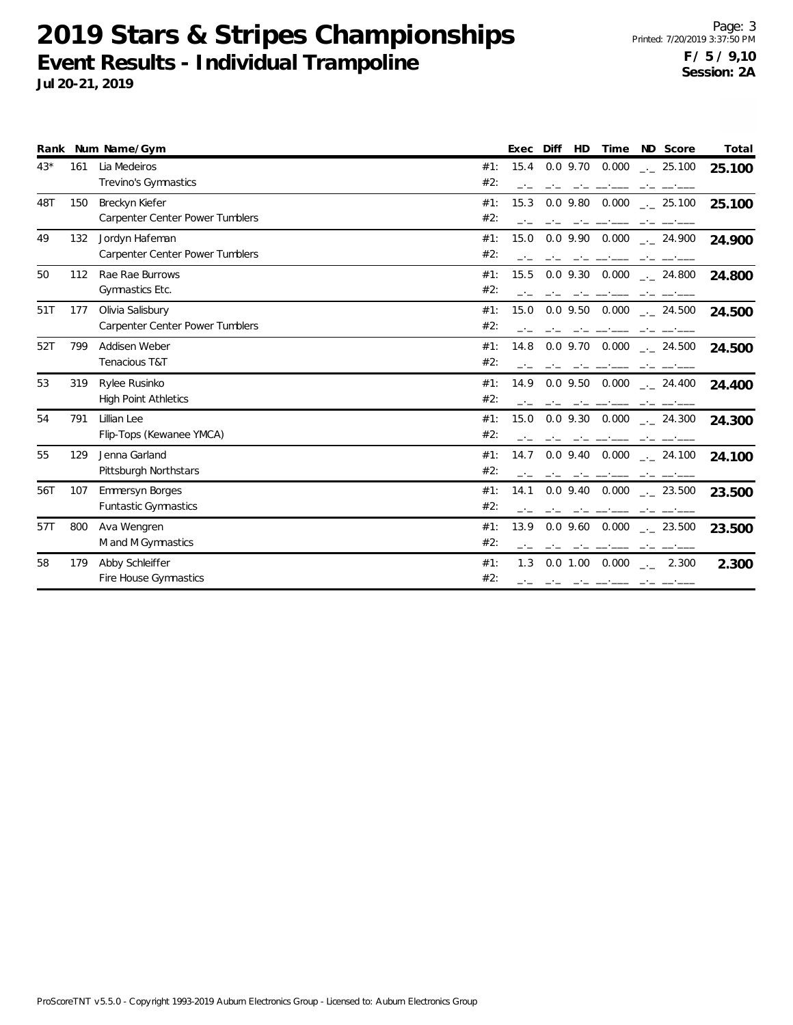| Rank  |     | Num Name/Gym                                             | Time<br>ND Score<br>Total<br>Exec<br>Diff<br>HD                                                          |
|-------|-----|----------------------------------------------------------|----------------------------------------------------------------------------------------------------------|
| $43*$ | 161 | Lia Medeiros<br>Trevino's Gymnastics                     | 15.4<br>$0.0$ 9.70<br>0.000<br>$-25.100$<br>#1:<br>25.100<br>#2:                                         |
| 48T   | 150 | Breckyn Kiefer<br><b>Carpenter Center Power Tumblers</b> | #1:<br>$0.0$ 9.80<br>0.000<br>15.3<br>$\frac{1}{2}$ 25.100<br>25.100<br>#2:                              |
| 49    | 132 | Jordyn Hafeman<br><b>Carpenter Center Power Tumblers</b> | $0.0$ 9.90<br>0.000<br>#1:<br>15.0<br>$\frac{1}{2}$ 24.900<br>24.900<br>#2:                              |
| 50    | 112 | Rae Rae Burrows<br>Gymnastics Etc.                       | 0.000<br>#1:<br>15.5<br>$0.0$ 9.30<br>$\frac{1}{2}$ 24.800<br>24.800<br>#2:                              |
| 51T   | 177 | Olivia Salisbury<br>Carpenter Center Power Tumblers      | #1:<br>15.0<br>$0.0$ 9.50<br>0.000<br>24.500<br>24.500<br>#2:                                            |
| 52T   | 799 | Addisen Weber<br>Tenacious T&T                           | $0.0$ 9.70<br>0.000<br>#1:<br>14.8<br>$\frac{1}{2}$ 24.500<br>24.500<br>#2:                              |
| 53    | 319 | Rylee Rusinko<br><b>High Point Athletics</b>             | $0.0$ 9.50 $0.000$<br>#1:<br>14.9<br>24.400<br>24.400<br>#2:                                             |
| 54    | 791 | Lillian Lee<br>Flip-Tops (Kewanee YMCA)                  | 15.0<br>$0.0$ 9.30 $0.000$<br>#1:<br>$\frac{1}{2}$ 24.300<br>24.300<br>#2:                               |
| 55    | 129 | Jenna Garland<br>Pittsburgh Northstars                   | $0.0$ 9.40 $0.000$<br>#1:<br>14.7<br>24.100<br>24.100<br>#2:                                             |
| 56T   | 107 | <b>Emmersyn Borges</b><br>Funtastic Gymnastics           | $0.0$ 9.40 $0.000$<br>#1:<br>14.1<br>$\frac{1}{2}$ 23.500<br>23.500<br>#2:                               |
| 57T   | 800 | Ava Wengren<br>M and M Gymnastics                        | $0.0$ 9.60 $0.000$<br>#1:<br>13.9<br>$\frac{1}{2}$ 23.500<br>23.500<br>#2:                               |
| 58    | 179 | Abby Schleiffer<br>Fire House Gymnastics                 | #1:<br>$0.0$ 1.00 0.000 $_{\leftarrow}$ 2.300<br>1.3<br>2.300<br>#2:<br>المستحصل بالحامل المحامل المحامل |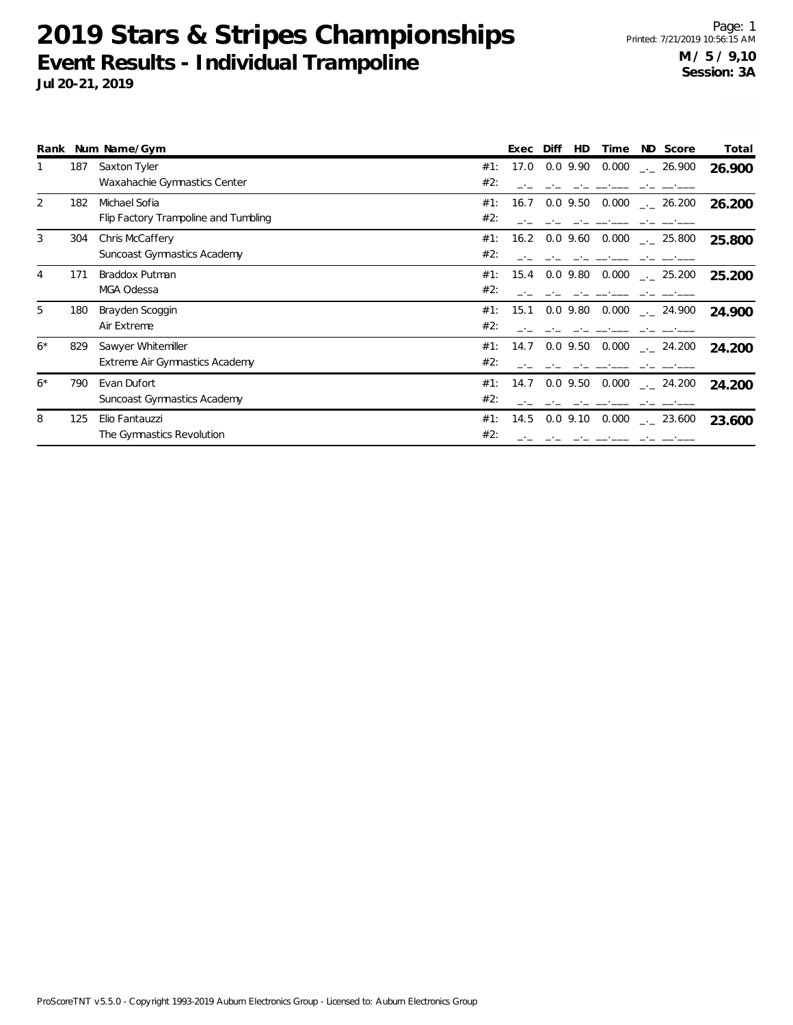|      |     | Rank Num Name/Gym                    |     | Exec | Diff<br>HD | Time  | ND Score             | Total  |
|------|-----|--------------------------------------|-----|------|------------|-------|----------------------|--------|
|      | 187 | Saxton Tyler                         | #1: | 17.0 | $0.0$ 9.90 | 0.000 | $-26.900$            | 26.900 |
|      |     | Waxahachie Gymnastics Center         | #2: |      |            |       |                      |        |
| 2    | 182 | Michael Sofia                        | #1: | 16.7 | $0.0$ 9.50 | 0.000 | $\frac{1}{2}$ 26.200 | 26.200 |
|      |     | Flip Factory Trampoline and Tumbling | #2: |      |            |       |                      |        |
| 3    | 304 | Chris McCaffery                      | #1: | 16.2 | $0.0$ 9.60 | 0.000 | $\frac{1}{2}$ 25.800 | 25.800 |
|      |     | Suncoast Gymnastics Academy          | #2: |      |            |       |                      |        |
| 4    | 171 | Braddox Putman                       | #1: | 15.4 | $0.0$ 9.80 | 0.000 | $\frac{1}{2}$ 25.200 | 25.200 |
|      |     | MGA Odessa                           | #2: |      |            |       |                      |        |
| 5    | 180 | Brayden Scoggin                      | #1: | 15.1 | $0.0$ 9.80 | 0.000 | $-24.900$            | 24.900 |
|      |     | Air Extreme                          | #2: |      |            |       |                      |        |
| $6*$ | 829 | Sawyer Whitemiller                   | #1: | 14.7 | $0.0$ 9.50 | 0.000 | $\sim$ 24.200        | 24.200 |
|      |     | Extreme Air Gymnastics Academy       | #2: |      |            |       |                      |        |
| $6*$ | 790 | Evan Dufort                          | #1: | 14.7 | $0.0$ 9.50 | 0.000 | $\frac{1}{2}$ 24.200 | 24.200 |
|      |     | <b>Suncoast Gymnastics Academy</b>   | #2: |      |            |       |                      |        |
| 8    | 125 | Elio Fantauzzi                       | #1: | 14.5 | $0.0$ 9.10 | 0.000 | $\frac{1}{2}$ 23.600 | 23.600 |
|      |     | The Gymnastics Revolution            | #2: |      |            |       |                      |        |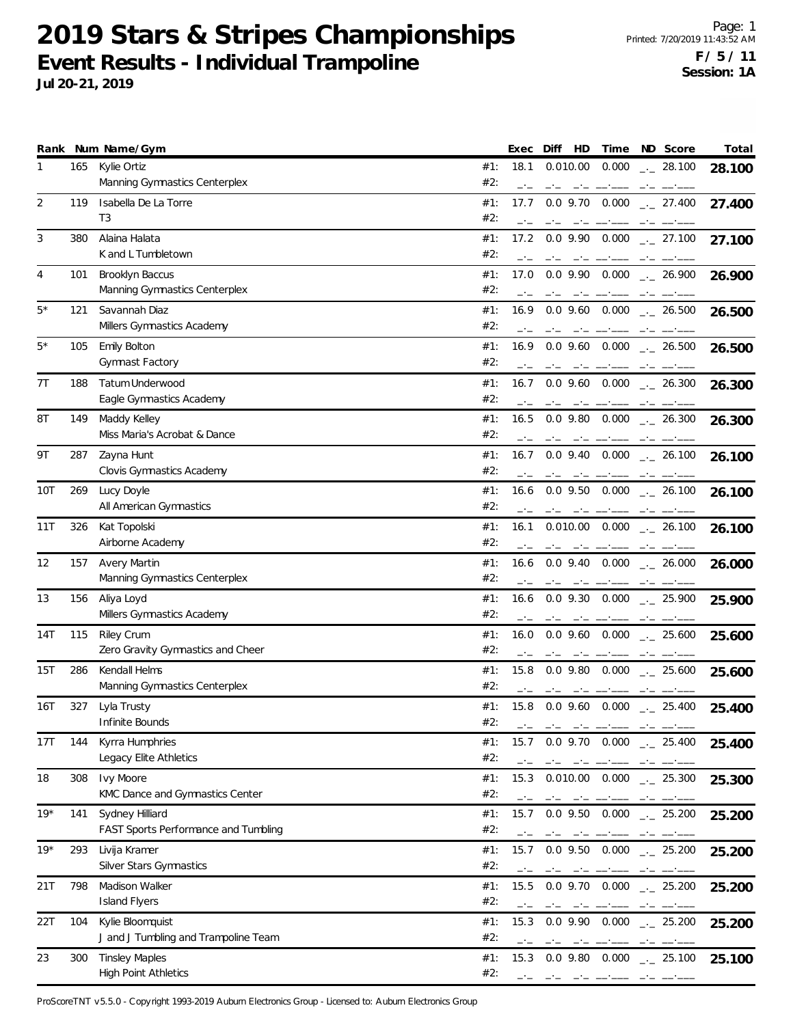**Jul 20-21, 2019**

|       |     | Rank Num Name/Gym                                        | Exec<br>Diff<br>HD<br>ND Score<br>Total<br>Time                                                                                                                                                                                                                                                             |
|-------|-----|----------------------------------------------------------|-------------------------------------------------------------------------------------------------------------------------------------------------------------------------------------------------------------------------------------------------------------------------------------------------------------|
| 1     | 165 | Kylie Ortiz<br>Manning Gymnastics Centerplex             | #1:<br>18.1<br>0.010.00<br>0.000<br>$_{\leftarrow}$ 28.100<br>28.100<br>#2:<br>$-1$<br>$-1$<br>المستناد المستندر المساحين<br>$-1$                                                                                                                                                                           |
| 2     | 119 | Isabella De La Torre<br>T <sub>3</sub>                   | 17.7<br>$0.0$ 9.70<br>0.000<br>#1:<br>$-27.400$<br>27.400<br>#2:<br>$-1$<br>$-1$<br>والمستور والمتاحين                                                                                                                                                                                                      |
| 3     | 380 | Alaina Halata<br>K and L Tumbletown                      | #1:<br>17.2<br>$0.0$ 9.90 $0.000$<br>$\frac{1}{2}$ 27.100<br>27.100<br>#2:<br>$-1$                                                                                                                                                                                                                          |
| 4     | 101 | Brooklyn Baccus<br>Manning Gymnastics Centerplex         | #1:<br>17.0<br>$0.0$ 9.90 $0.000$ $_{\leftarrow}$ 26.900<br>26.900<br>#2:<br>$-1$                                                                                                                                                                                                                           |
| $5*$  | 121 | Savannah Diaz<br>Millers Gymnastics Academy              | 0.000<br>#1:<br>16.9<br>$0.0$ 9.60<br>$\frac{1}{2}$ 26.500<br>26.500<br>#2:<br>$-1$<br>$-1$ $-1$                                                                                                                                                                                                            |
| $5*$  | 105 | <b>Emily Bolton</b><br>Gymnast Factory                   | #1:<br>16.9<br>$0.0$ 9.60 $0.000$ $_{\leftarrow}$ 26.500<br>26.500<br>#2:                                                                                                                                                                                                                                   |
| 7T    | 188 | <b>Tatum Underwood</b><br>Eagle Gymnastics Academy       | #1:<br>$0.0$ 9.60 $0.000$ $_{\dots}$ 26.300<br>16.7<br>26.300<br>#2:                                                                                                                                                                                                                                        |
| 8T    | 149 | Maddy Kelley<br>Miss Maria's Acrobat & Dance             | $0.0$ 9.80<br>$0.000$ _._ 26.300<br>#1:<br>16.5<br>26.300<br>#2:<br>مناقصته المسافسة<br>$-1$                                                                                                                                                                                                                |
| 9T    | 287 | Zayna Hunt<br>Clovis Gymnastics Academy                  | #1:<br>$0.0$ 9.40 $0.000$ $_{\leftarrow}$ 26.100<br>16.7<br>26.100<br>#2:<br>$-1$<br>مستسلم المستنب المسائمين                                                                                                                                                                                               |
| 10T   | 269 | Lucy Doyle<br>All American Gymnastics                    | 0.0 9.50 0.000<br>#1:<br>16.6<br>$\sim$ 26.100<br>26.100<br>#2:                                                                                                                                                                                                                                             |
| 11T   | 326 | Kat Topolski<br>Airborne Academy                         | $0.000$ _._ 26.100<br>#1:<br>0.010.00<br>16.1<br>26.100<br>#2:                                                                                                                                                                                                                                              |
| 12    | 157 | <b>Avery Martin</b><br>Manning Gymnastics Centerplex     | #1:<br>$0.0$ 9.40 $0.000$ $_{\sim}$ 26.000<br>16.6<br>26.000<br>#2:<br>and the contract of the contract of the contract of the contract of the contract of the contract of the contract of the contract of the contract of the contract of the contract of the contract of the contract of the contra       |
| 13    | 156 | Aliya Loyd<br>Millers Gymnastics Academy                 | #1:<br>16.6<br>$0.0$ 9.30 $0.000$ $_{\leftarrow}$ 25.900<br>25.900<br>#2:                                                                                                                                                                                                                                   |
| 14T   | 115 | Riley Crum<br>Zero Gravity Gymnastics and Cheer          | 0.000<br>#1:<br>16.0<br>$0.0$ 9.60<br>$\frac{1}{2}$ 25.600<br>25.600<br>#2:                                                                                                                                                                                                                                 |
| 15T   | 286 | Kendall Helms<br>Manning Gymnastics Centerplex           | #1:<br>$0.0$ 9.80 $0.000$ $_{\leftarrow}$ 25.600<br>15.8<br>25.600<br>#2:<br>and the contract of the contract of the contract of the contract of the contract of the contract of the contract of the contract of the contract of the contract of the contract of the contract of the contract of the contra |
| 16T   | 327 | Lyla Trusty<br>Infinite Bounds                           | #1:<br>15.8<br>$0.0$ 9.60 $0.000$ $_{\sim}$ 25.400<br>25.400<br>#2:                                                                                                                                                                                                                                         |
| 17T   | 144 | Kyrra Humphries<br>Legacy Elite Athletics                | #1:<br>15.7<br>$0.0$ 9.70<br>$0.000$ $_{\leftarrow}$ 25.400<br>25.400<br>#2:<br>— <u>—</u>                                                                                                                                                                                                                  |
| 18    | 308 | Ivy Moore<br>KMC Dance and Gymnastics Center             | 15.3<br>#1:<br>$0.010.00$ $0.000$<br>$\frac{1}{2}$ 25.300<br>25.300<br>#2:                                                                                                                                                                                                                                  |
| $19*$ | 141 | Sydney Hilliard<br>FAST Sports Performance and Tumbling  | #1:<br>15.7<br>$0.0$ 9.50<br>0.000<br>$\frac{1}{2}$ 25.200<br>25.200<br>#2:<br>$-1$<br>$-1$                                                                                                                                                                                                                 |
| $19*$ | 293 | Livija Kramer<br>Silver Stars Gymnastics                 | #1:<br>15.7<br>$0.0$ 9.50 $0.000$ $_{\leftarrow}$ 25.200<br>25.200<br>#2:<br>مستحدث المستحدث                                                                                                                                                                                                                |
| 21T   | 798 | Madison Walker<br><b>Island Flyers</b>                   | #1:<br>15.5<br>$0.0$ 9.70 $0.000$<br>$\frac{1}{2}$ 25.200<br>25.200<br>#2:                                                                                                                                                                                                                                  |
| 22T   | 104 | Kylie Bloomquist<br>J and J Tumbling and Trampoline Team | 0.000<br>#1:<br>15.3<br>$0.0$ 9.90<br>$-25.200$<br>25.200<br>#2:                                                                                                                                                                                                                                            |
| 23    | 300 | <b>Tinsley Maples</b><br><b>High Point Athletics</b>     | #1:<br>15.3<br>$0.0$ 9.80 $0.000$<br>$\frac{1}{2}$ 25.100<br>25.100<br>#2:<br>فتستحصن المتحلين والمناصب                                                                                                                                                                                                     |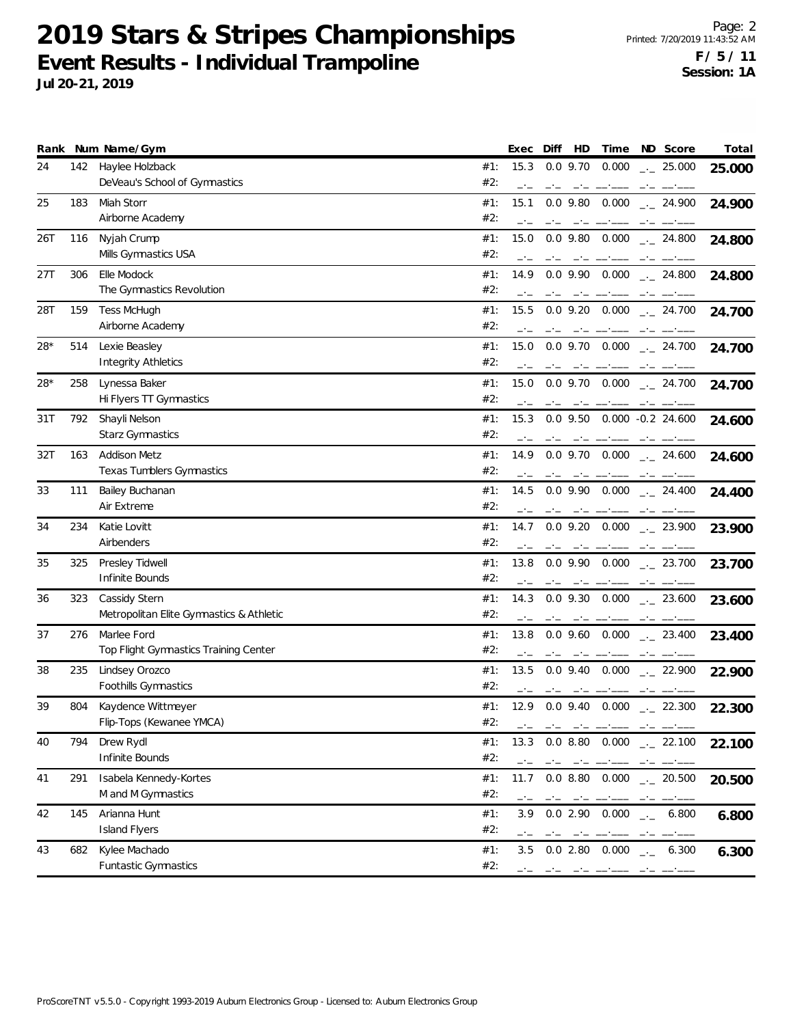|     |     | Rank Num Name/Gym                        | Exec<br>Diff<br>HD<br>Time<br>ND Score<br>Total                                                                                                                                                                                                                                                                                                                                                                                                           |
|-----|-----|------------------------------------------|-----------------------------------------------------------------------------------------------------------------------------------------------------------------------------------------------------------------------------------------------------------------------------------------------------------------------------------------------------------------------------------------------------------------------------------------------------------|
| 24  | 142 | Haylee Holzback                          | 15.3<br>$0.0$ 9.70<br>0.000<br>#1:<br>$\frac{1}{2}$ 25.000<br>25.000                                                                                                                                                                                                                                                                                                                                                                                      |
|     |     | DeVeau's School of Gymnastics            | #2:<br>$-1$<br>$-1$                                                                                                                                                                                                                                                                                                                                                                                                                                       |
| 25  | 183 | Miah Storr                               | #1:<br>15.1<br>$0.0$ 9.80<br>0.000<br>$-24.900$<br>24.900                                                                                                                                                                                                                                                                                                                                                                                                 |
|     |     | Airborne Academy                         | #2:                                                                                                                                                                                                                                                                                                                                                                                                                                                       |
| 26T | 116 | Nyjah Crump                              | 15.0<br>#1:<br>$0.0$ 9.80 $0.000$<br>$\frac{1}{2}$ 24.800<br>24.800                                                                                                                                                                                                                                                                                                                                                                                       |
|     |     | Mills Gymnastics USA                     | #2:                                                                                                                                                                                                                                                                                                                                                                                                                                                       |
| 27T | 306 | Elle Modock                              | $0.0$ 9.90<br>0.000<br>#1:<br>14.9<br>$\frac{1}{2}$ 24.800<br>24.800                                                                                                                                                                                                                                                                                                                                                                                      |
|     |     | The Gymnastics Revolution                | #2:<br>$-1$<br>$-1$<br>$-1$<br>$-1$                                                                                                                                                                                                                                                                                                                                                                                                                       |
| 28T | 159 | <b>Tess McHugh</b>                       | #1:<br>15.5<br>$0.0$ 9.20<br>0.000<br>$-24.700$<br>24.700                                                                                                                                                                                                                                                                                                                                                                                                 |
|     |     | Airborne Academy                         | #2:                                                                                                                                                                                                                                                                                                                                                                                                                                                       |
| 28* | 514 | Lexie Beasley                            | #1:<br>15.0<br>$0.0$ 9.70 $0.000$<br>$\sim$ 24.700<br>24.700                                                                                                                                                                                                                                                                                                                                                                                              |
|     |     | <b>Integrity Athletics</b>               | #2:                                                                                                                                                                                                                                                                                                                                                                                                                                                       |
| 28* | 258 | Lynessa Baker                            | #1:<br>15.0<br>$0.0$ 9.70 $0.000$<br>$\sim$ 24.700<br>24.700                                                                                                                                                                                                                                                                                                                                                                                              |
|     |     | Hi Flyers TT Gymnastics                  | #2:<br>$-1$<br>$-1$<br>— <u>—</u><br>$-1$                                                                                                                                                                                                                                                                                                                                                                                                                 |
| 31T | 792 | Shayli Nelson                            | 15.3<br>$0.0$ 9.50<br>$0.000 - 0.2 24.600$<br>#1:<br>24.600                                                                                                                                                                                                                                                                                                                                                                                               |
|     |     | Starz Gymnastics                         | #2:                                                                                                                                                                                                                                                                                                                                                                                                                                                       |
| 32T | 163 | <b>Addison Metz</b>                      | #1:<br>14.9<br>$0.0$ 9.70 $0.000$<br>$-24.600$<br>24.600                                                                                                                                                                                                                                                                                                                                                                                                  |
|     |     | <b>Texas Tumblers Gymnastics</b>         | #2:                                                                                                                                                                                                                                                                                                                                                                                                                                                       |
| 33  | 111 | Bailey Buchanan                          | 0.000<br>#1:<br>14.5<br>$0.0$ 9.90<br>$\frac{1}{2}$ 24.400<br>24.400                                                                                                                                                                                                                                                                                                                                                                                      |
|     |     | Air Extreme                              | #2:                                                                                                                                                                                                                                                                                                                                                                                                                                                       |
| 34  | 234 | Katie Lovitt                             | 0.000<br>#1:<br>14.7<br>$0.0$ 9.20<br>$-23.900$<br>23.900                                                                                                                                                                                                                                                                                                                                                                                                 |
|     |     | Airbenders                               | #2:<br>$-1$<br>$-1$                                                                                                                                                                                                                                                                                                                                                                                                                                       |
| 35  | 325 | Presley Tidwell                          | #1:<br>13.8<br>$0.0$ 9.90 $0.000$<br>$\frac{1}{2}$ 23.700<br>23.700                                                                                                                                                                                                                                                                                                                                                                                       |
|     |     | Infinite Bounds                          | #2:<br>$-1$                                                                                                                                                                                                                                                                                                                                                                                                                                               |
| 36  | 323 | Cassidy Stern                            | #1:<br>14.3<br>$0.0$ 9.30 $0.000$<br>$\frac{1}{2}$ 23.600<br>23.600                                                                                                                                                                                                                                                                                                                                                                                       |
|     |     | Metropolitan Elite Gymnastics & Athletic | #2:                                                                                                                                                                                                                                                                                                                                                                                                                                                       |
| 37  | 276 | Marlee Ford                              | $0.0$ 9.60 $0.000$<br>#1:<br>13.8<br>$-23.400$<br>23.400                                                                                                                                                                                                                                                                                                                                                                                                  |
|     |     | Top Flight Gymnastics Training Center    | #2:<br>$-1$                                                                                                                                                                                                                                                                                                                                                                                                                                               |
| 38  | 235 | Lindsey Orozco                           | #1:<br>$0.0$ 9.40 $0.000$<br>13.5<br>$\sim$ 22.900<br>22.900                                                                                                                                                                                                                                                                                                                                                                                              |
|     |     | Foothills Gymnastics                     | #2:<br>$-1$<br>$\frac{1}{2} \frac{1}{2} \frac{1}{2} \frac{1}{2} \frac{1}{2} \frac{1}{2} \frac{1}{2} \frac{1}{2} \frac{1}{2} \frac{1}{2} \frac{1}{2} \frac{1}{2} \frac{1}{2} \frac{1}{2} \frac{1}{2} \frac{1}{2} \frac{1}{2} \frac{1}{2} \frac{1}{2} \frac{1}{2} \frac{1}{2} \frac{1}{2} \frac{1}{2} \frac{1}{2} \frac{1}{2} \frac{1}{2} \frac{1}{2} \frac{1}{2} \frac{1}{2} \frac{1}{2} \frac{1}{2} \frac{$                                               |
| 39  | 804 | Kaydence Wittmeyer                       | $0.0$ 9.40 $0.000$<br>#1:<br>12.9<br>$-22.300$<br>22.300                                                                                                                                                                                                                                                                                                                                                                                                  |
|     |     | Flip-Tops (Kewanee YMCA)                 | #2:<br>and a complete that are a second complete the complete                                                                                                                                                                                                                                                                                                                                                                                             |
| 40  | 794 | Drew Rydl                                | 13.3<br>$0.0$ 8.80 $0.000$ $_{\leftarrow}$ 22.100<br>#1:<br>22.100                                                                                                                                                                                                                                                                                                                                                                                        |
|     |     | Infinite Bounds                          | #2:                                                                                                                                                                                                                                                                                                                                                                                                                                                       |
| 41  | 291 | Isabela Kennedy-Kortes                   | #1:<br>$0.0$ 8.80 $0.000$ $_{\dots}$ 20.500<br>11.7<br>20.500                                                                                                                                                                                                                                                                                                                                                                                             |
|     |     | M and M Gymnastics                       | #2:<br>$-1$<br>$-\cdot\,-\,$                                                                                                                                                                                                                                                                                                                                                                                                                              |
| 42  | 145 | Arianna Hunt                             | #1:<br>3.9<br>0.02.90<br>0.000<br>$-$ 6.800<br>6.800                                                                                                                                                                                                                                                                                                                                                                                                      |
|     |     | <b>Island Flyers</b>                     | #2:<br>$-1$<br>$\label{eq:4.1} \frac{1}{2} \frac{1}{2} \left( \frac{1}{2} \right) \frac{1}{2} \left( \frac{1}{2} \right) \frac{1}{2} \left( \frac{1}{2} \right) \frac{1}{2} \left( \frac{1}{2} \right) \frac{1}{2} \left( \frac{1}{2} \right) \frac{1}{2} \left( \frac{1}{2} \right) \frac{1}{2} \left( \frac{1}{2} \right) \frac{1}{2} \left( \frac{1}{2} \right) \frac{1}{2} \left( \frac{1}{2} \right) \frac{1}{2} \left( \frac{1}{2} \right) \frac{1$ |
| 43  | 682 | Kylee Machado                            | 3.5 0.0 2.80 0.000<br>#1:<br>6.300<br>6.300<br>$\mathcal{L}(\mathcal{L})$                                                                                                                                                                                                                                                                                                                                                                                 |
|     |     | Funtastic Gymnastics                     | #2:<br>والمستحصل ماجتال المحمور المحم                                                                                                                                                                                                                                                                                                                                                                                                                     |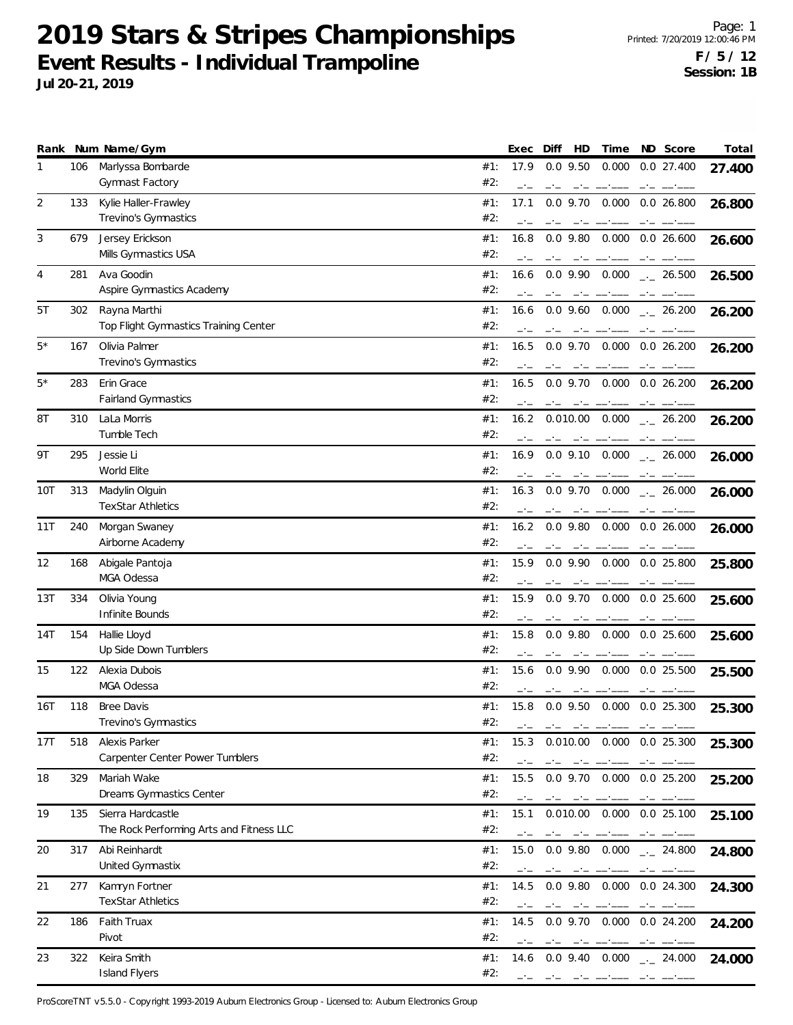**Jul 20-21, 2019**

|      |     | Rank Num Name/Gym                                             | Diff<br>HD<br>Time<br>Exec                                             | ND Score                 | Total  |
|------|-----|---------------------------------------------------------------|------------------------------------------------------------------------|--------------------------|--------|
| 1    | 106 | Marlyssa Bombarde<br>Gymnast Factory                          | #1:<br>17.9<br>$0.0$ 9.50<br>0.000<br>#2:                              | 0.0 27.400               | 27.400 |
| 2    | 133 | Kylie Haller-Frawley<br>Trevino's Gymnastics                  | #1:<br>17.1<br>$0.0$ 9.70<br>0.000<br>#2:                              | $0.0$ 26.800             | 26.800 |
| 3    | 679 | Jersey Erickson<br>Mills Gymnastics USA                       | #1:<br>16.8<br>$0.0$ 9.80<br>0.000<br>#2:<br>$-1$                      | 0.026.600                | 26.600 |
| 4    | 281 | Ava Goodin<br>Aspire Gymnastics Academy                       | #1:<br>$0.0$ 9.90<br>0.000<br>16.6<br>#2:                              | $\frac{1}{2}$ 26.500     | 26.500 |
| 5T   | 302 | Rayna Marthi<br>Top Flight Gymnastics Training Center         | 0.000<br>#1:<br>16.6<br>$0.0$ 9.60<br>#2:                              | $\frac{1}{2}$ 26.200     | 26.200 |
| $5*$ | 167 | Olivia Palmer<br>Trevino's Gymnastics                         | 0.000<br>#1:<br>16.5<br>$0.0$ 9.70<br>#2:                              | 0.026.200                | 26.200 |
| 5*   | 283 | Erin Grace<br><b>Fairland Gymnastics</b>                      | #1:<br>16.5<br>$0.0$ 9.70<br>0.000<br>#2:                              | $0.0$ 26.200             | 26.200 |
| 8Τ   | 310 | LaLa Morris<br>Tumble Tech                                    | 0.000<br>#1:<br>16.2<br>0.010.00<br>#2:                                | $\frac{1}{2}$ 26.200     | 26.200 |
| 9Τ   | 295 | Jessie Li<br>World Elite                                      | #1:<br>16.9<br>$0.0$ 9.10<br>0.000<br>#2:                              | $\frac{1}{2}$ 26.000     | 26.000 |
| 10T  | 313 | Madylin Olguin<br><b>TexStar Athletics</b>                    | 0.000<br>#1:<br>16.3<br>$0.0$ 9.70<br>#2:                              | $-26.000$                | 26.000 |
| 11T  | 240 | Morgan Swaney<br>Airborne Academy                             | #1:<br>16.2<br>$0.0$ $9.80$<br>0.000<br>#2:                            | 0.026.000                | 26.000 |
| 12   | 168 | Abigale Pantoja<br>MGA Odessa                                 | #1:<br>15.9<br>$0.0$ 9.90<br>0.000<br>#2:                              | $0.0$ 25.800             | 25.800 |
| 13T  | 334 | Olivia Young<br>Infinite Bounds                               | #1:<br>15.9<br>$0.0$ 9.70<br>#2:                                       | 0.000 0.0 25.600         | 25.600 |
| 14T  | 154 | Hallie Lloyd<br>Up Side Down Tumblers                         | $0.0$ $9.80$<br>0.000<br>#1:<br>15.8<br>#2:<br>— <u>—</u><br>$-1$      | $0.0$ 25.600             | 25.600 |
| 15   | 122 | Alexia Dubois<br>MGA Odessa                                   | #1:<br>15.6<br>$0.0$ 9.90<br>0.000<br>#2:                              | $0.0$ 25.500             | 25.500 |
| 16T  | 118 | <b>Bree Davis</b><br>Trevino's Gymnastics                     | $0.0$ 9.50<br>#1:<br>15.8<br>#2:<br>$-1$<br>$-1$<br>---                | 0.000 0.0 25.300<br>$-1$ | 25.300 |
| 17T  | 518 | Alexis Parker<br>Carpenter Center Power Tumblers              | 0.010.00<br>#1:<br>15.3<br>#2:                                         | 0.000 0.0 25.300         | 25.300 |
| 18   | 329 | Mariah Wake<br>Dreams Gymnastics Center                       | #1:<br>15.5<br>$0.0$ 9.70<br>#2:                                       | 0.000  0.0  25.200       | 25.200 |
| 19   | 135 | Sierra Hardcastle<br>The Rock Performing Arts and Fitness LLC | #1:<br>0.000<br>15.1<br>0.010.00<br>#2:<br>$-1$                        | $0.0$ 25.100             | 25.100 |
| 20   | 317 | Abi Reinhardt<br>United Gymnastix                             | #1:<br>15.0<br>$0.0$ 9.80 $0.000$<br>#2:                               | $\frac{1}{2}$ 24.800     | 24.800 |
| 21   | 277 | Kamryn Fortner<br><b>TexStar Athletics</b>                    | #1:<br>14.5<br>0.0 9.80 0.000 0.0 24.300<br>#2:                        |                          | 24.300 |
| 22   | 186 | Faith Truax<br>Pivot                                          | #1:<br>14.5<br>$0.0$ 9.70<br>#2:<br>$-1$<br>$-1$<br>$-1 - 1 = -1 -$    | 0.000 0.0 24.200<br>$-1$ | 24.200 |
| 23   | 322 | Keira Smith<br><b>Island Flyers</b>                           | #1:<br>$0.0$ 9.40 $0.000$<br>14.6<br>#2:<br>والمسترد والمناصب والمناصب | $-24.000$                | 24.000 |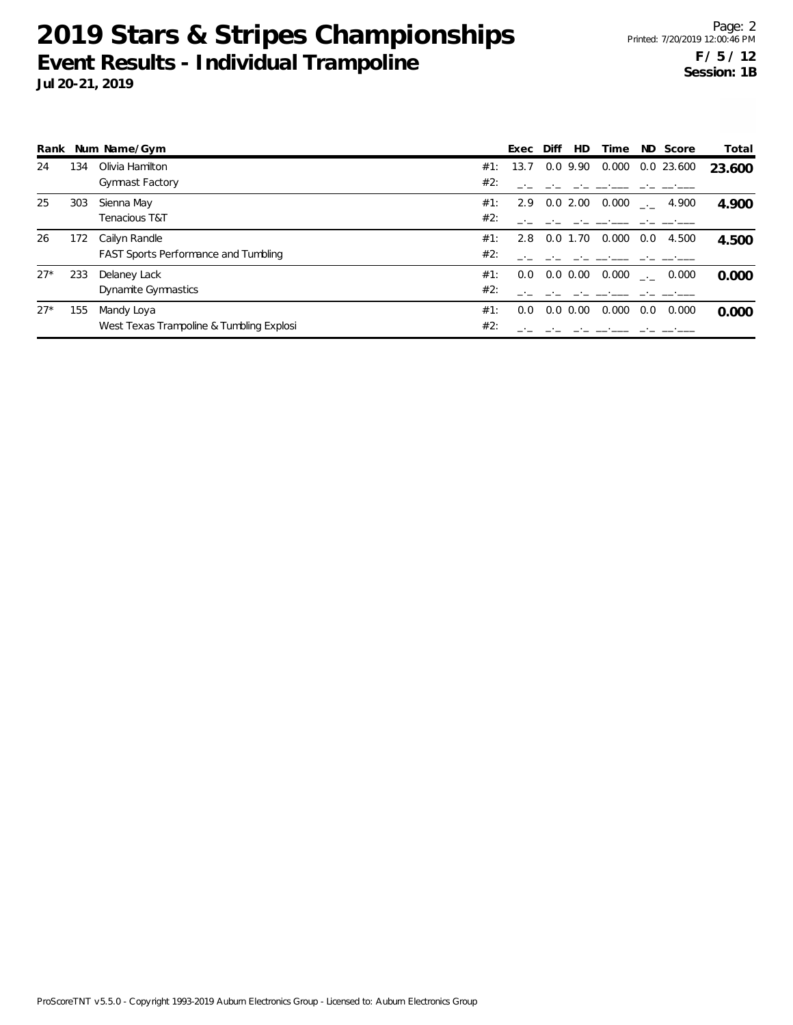|       |     | Rank Num Name/Gym                           |     | Exec | Diff | HD.           | Time  |     | ND Score            | Total  |
|-------|-----|---------------------------------------------|-----|------|------|---------------|-------|-----|---------------------|--------|
| 24    | 134 | Olivia Hamilton                             | #1: | 13.7 |      | 0.0 9.90      | 0.000 |     | 0.0 23.600          | 23.600 |
|       |     | <b>Gymnast Factory</b>                      | #2: |      |      |               |       |     |                     |        |
| 25    | 303 | Sienna May                                  | #1: |      |      | 2.9 0.0 2.00  | 0.000 |     | $\frac{1}{2}$ 4.900 | 4.900  |
|       |     | Tenacious T&T                               | #2: |      |      |               |       |     |                     |        |
| 26    | 172 | Cailyn Randle                               | #1: | 2.8  |      | $0.0$ 1.70    | 0.000 | 0.0 | 4.500               | 4.500  |
|       |     | <b>FAST Sports Performance and Tumbling</b> | #2: |      |      |               |       |     |                     |        |
| $27*$ | 233 | Delaney Lack                                | #1: | 0.0  |      | $0.0 \, 0.00$ | 0.000 |     | 0.000               | 0.000  |
|       |     | Dynamite Gymnastics                         | #2: |      |      |               |       |     |                     |        |
| $27*$ | 155 | Mandy Loya                                  | #1: | 0.0  | 0.0  | 0.00          | 0.000 | 0.0 | 0.000               | 0.000  |
|       |     | West Texas Trampoline & Tumbling Explosi    | #2: |      |      |               |       |     |                     |        |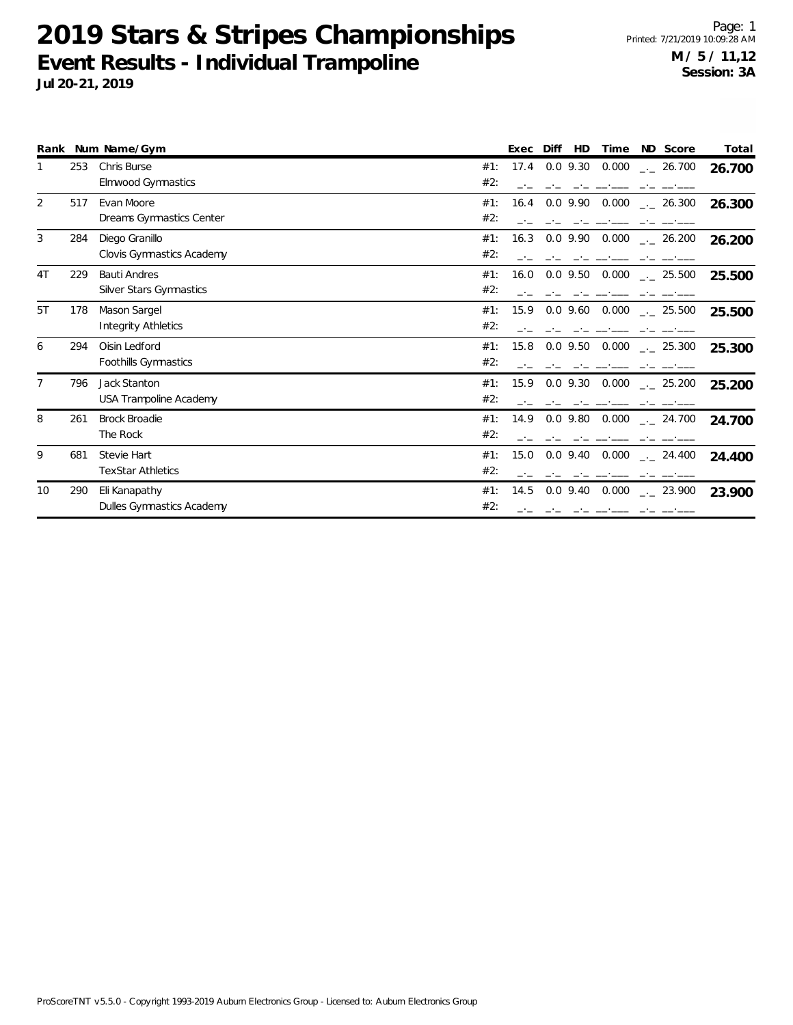|                |     | Rank Num Name/Gym                              | Exec<br>Diff<br><b>HD</b><br>ND Score<br>Time                     | Total  |
|----------------|-----|------------------------------------------------|-------------------------------------------------------------------|--------|
|                | 253 | Chris Burse<br>Elmwood Gymnastics              | $0.0$ 9.30<br>0.000<br>#1:<br>17.4<br>$-26.700$<br>#2:            | 26.700 |
| 2              | 517 | Evan Moore<br>Dreams Gymnastics Center         | $0.0$ 9.90<br>0.000<br>#1:<br>16.4<br>$-26.300$<br>#2:            | 26.300 |
| 3              | 284 | Diego Granillo<br>Clovis Gymnastics Academy    | $0.0$ 9.90 $0.000$<br>#1:<br>16.3<br>$-26.200$<br>#2:             | 26.200 |
| 4T             | 229 | <b>Bauti Andres</b><br>Silver Stars Gymnastics | $0.0$ 9.50<br>0.000<br>#1:<br>16.0<br>$\frac{1}{2}$ 25.500<br>#2: | 25.500 |
| 5T             | 178 | Mason Sargel<br><b>Integrity Athletics</b>     | 15.9<br>$0.0$ 9.60<br>0.000<br>#1:<br>$\frac{1}{2}$ 25.500<br>#2: | 25.500 |
| 6              | 294 | Oisin Ledford<br>Foothills Gymnastics          | #1:<br>15.8<br>$0.0$ 9.50<br>0.000<br>$-25.300$<br>#2:            | 25.300 |
| $\overline{7}$ | 796 | Jack Stanton<br>USA Trampoline Academy         | $0.0$ 9.30<br>0.000<br>15.9<br>#1:<br>$\frac{1}{2}$ 25.200<br>#2: | 25.200 |
| 8              | 261 | <b>Brock Broadie</b><br>The Rock               | $0.0$ 9.80<br>0.000<br>#1:<br>14.9<br>$\sim$ 24.700<br>#2:        | 24.700 |
| 9              | 681 | Stevie Hart<br><b>TexStar Athletics</b>        | 0.000<br>#1:<br>15.0<br>$0.0$ 9.40<br>$-24.400$<br>#2:            | 24.400 |
| 10             | 290 | Eli Kanapathy<br>Dulles Gymnastics Academy     | $0.0$ 9.40<br>0.000<br>#1:<br>14.5<br>$\frac{1}{2}$ 23.900<br>#2: | 23.900 |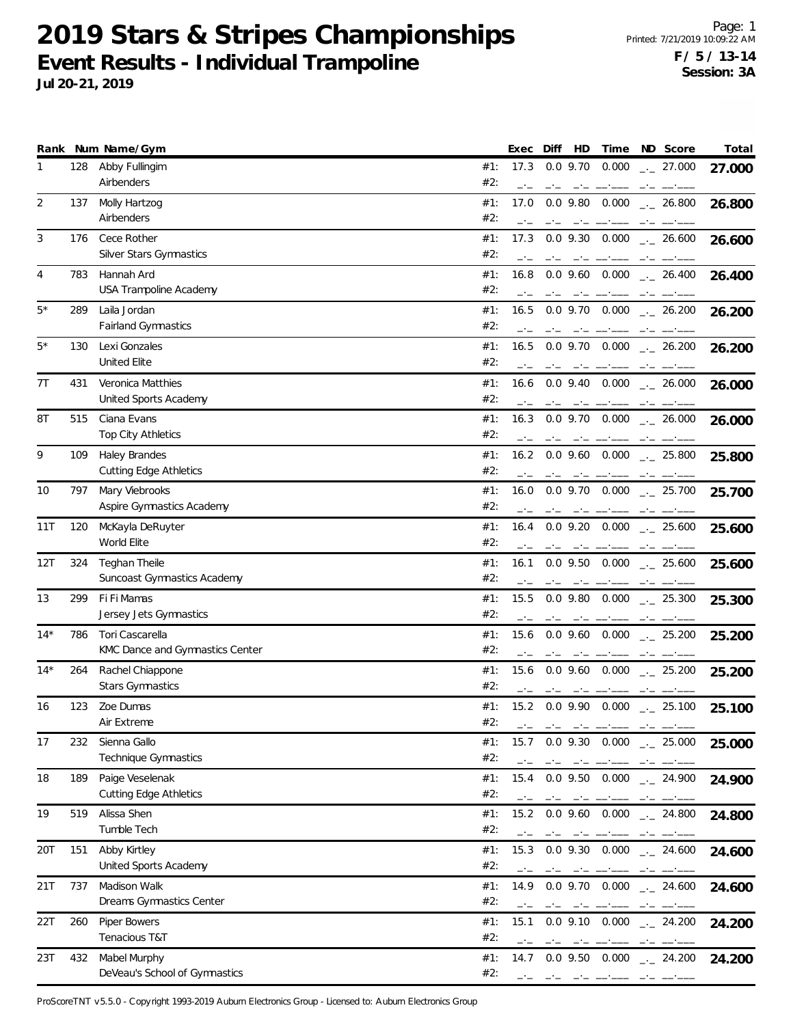**Jul 20-21, 2019**

|       |     | Rank Num Name/Gym                                     |            | Exec         | Diff | HD                              | Time                            | ND Score                                  | Total  |
|-------|-----|-------------------------------------------------------|------------|--------------|------|---------------------------------|---------------------------------|-------------------------------------------|--------|
| 1     | 128 | Abby Fullingim<br>Airbenders                          | #1:<br>#2: | 17.3<br>$-1$ |      | $0.0$ 9.70                      | 0.000                           | $-27.000$                                 | 27.000 |
| 2     | 137 | Molly Hartzog<br>Airbenders                           | #1:<br>#2: | 17.0<br>$-1$ |      | $0.0$ 9.80                      | 0.000<br>and the company of the | $-26.800$                                 | 26.800 |
| 3     | 176 | Cece Rother<br>Silver Stars Gymnastics                | #1:<br>#2: | 17.3         |      | $0.0$ 9.30                      | 0.000                           | $-26.600$                                 | 26.600 |
| 4     | 783 | Hannah Ard<br>USA Trampoline Academy                  | #1:<br>#2: | 16.8         |      |                                 | $0.0$ 9.60 $0.000$              | $-26.400$                                 | 26.400 |
| 5*    | 289 | Laila Jordan<br>Fairland Gymnastics                   | #1:<br>#2: | 16.5         |      | $0.0$ 9.70<br>$-1$              | 0.000                           | $-26.200$                                 | 26.200 |
| 5*    | 130 | Lexi Gonzales<br><b>United Elite</b>                  | #1:<br>#2: | 16.5         |      |                                 | $0.0$ 9.70 $0.000$              | $\frac{1}{2}$ 26.200                      | 26.200 |
| 7T    | 431 | Veronica Matthies<br>United Sports Academy            | #1:<br>#2: | 16.6         |      |                                 | $0.0$ 9.40 $0.000$              | $\frac{1}{2}$ 26.000                      | 26.000 |
| 8T    | 515 | Ciana Evans<br>Top City Athletics                     | #1:<br>#2: | 16.3         |      | $0.0$ 9.70<br>$-1$              |                                 | $0.000$ _ 26.000                          | 26.000 |
| 9     | 109 | <b>Haley Brandes</b><br><b>Cutting Edge Athletics</b> | #1:<br>#2: | 16.2         |      | سائست استعادت                   |                                 | $0.0$ 9.60 $0.000$ $_{\leftarrow}$ 25.800 | 25.800 |
| 10    | 797 | Mary Viebrooks<br>Aspire Gymnastics Academy           | #1:<br>#2: | 16.0         |      | $0.0$ 9.70                      | 0.000                           | $\frac{1}{2}$ 25.700                      | 25.700 |
| 11T   | 120 | McKayla DeRuyter<br>World Elite                       | #1:<br>#2: | 16.4         |      | $0.0$ 9.20                      | 0.000                           | $-25.600$                                 | 25.600 |
| 12T   | 324 | Teghan Theile<br>Suncoast Gymnastics Academy          | #1:<br>#2: | 16.1         |      |                                 |                                 | $0.0$ 9.50 $0.000$ $_{\leftarrow}$ 25.600 | 25.600 |
| 13    | 299 | Fi Fi Mamas<br>Jersey Jets Gymnastics                 | #1:<br>#2: | 15.5         |      |                                 |                                 | $0.0$ 9.80 $0.000$ $_{\leftarrow}$ 25.300 | 25.300 |
| $14*$ | 786 | Tori Cascarella<br>KMC Dance and Gymnastics Center    | #1:<br>#2: | 15.6<br>-1-  |      | $0.0$ 9.60                      | 0.000                           | $\frac{1}{2}$ 25.200                      | 25.200 |
| $14*$ | 264 | Rachel Chiappone<br><b>Stars Gymnastics</b>           | #1:<br>#2: | 15.6         |      | مستحدث المستحدث                 | $0.0$ 9.60 $0.000$              | $-25.200$                                 | 25.200 |
| 16    | 123 | Zoe Dumas<br>Air Extreme                              | #1:<br>#2: | 15.2<br>$-1$ | $-1$ | $-1$                            |                                 | $0.0$ 9.90 $0.000$ $_{\leftarrow}$ 25.100 | 25.100 |
| 17    | 232 | Sienna Gallo<br>Technique Gymnastics                  | #1:<br>#2: | 15.7         |      | $0.0$ 9.30<br>مناسبتها المساحين |                                 | $0.000$ _._ 25.000<br>$-1$                | 25.000 |
| 18    | 189 | Paige Veselenak<br><b>Cutting Edge Athletics</b>      | #1:<br>#2: | 15.4         |      | $0.0$ 9.50                      | 0.000                           | $-24.900$                                 | 24.900 |
| 19    | 519 | Alissa Shen<br>Tumble Tech                            | #1:<br>#2: | 15.2<br>$-1$ |      |                                 | $0.0$ 9.60 $0.000$              | $-24.800$                                 | 24.800 |
| 20T   | 151 | Abby Kirtley<br>United Sports Academy                 | #1:<br>#2: | 15.3<br>$-1$ | $-1$ |                                 | والمستنبذ المستنب المستركبين    | $0.0$ 9.30 $0.000$ $_{\leftarrow}$ 24.600 | 24.600 |
| 21T   | 737 | Madison Walk<br>Dreams Gymnastics Center              | #1:<br>#2: | 14.9         |      |                                 |                                 | $0.0$ 9.70 $0.000$ $_{\leftarrow}$ 24.600 | 24.600 |
| 22T   | 260 | Piper Bowers<br>Tenacious T&T                         | #1:<br>#2: | 15.1<br>$-1$ |      | $0.0$ 9.10                      | 0.000                           | $-24.200$                                 | 24.200 |
| 23T   | 432 | Mabel Murphy<br>DeVeau's School of Gymnastics         | #1:<br>#2: | 14.7         |      | والمستناء المتراجين والمتراجين  | $0.0$ 9.50 $0.000$              | $-24.200$                                 | 24.200 |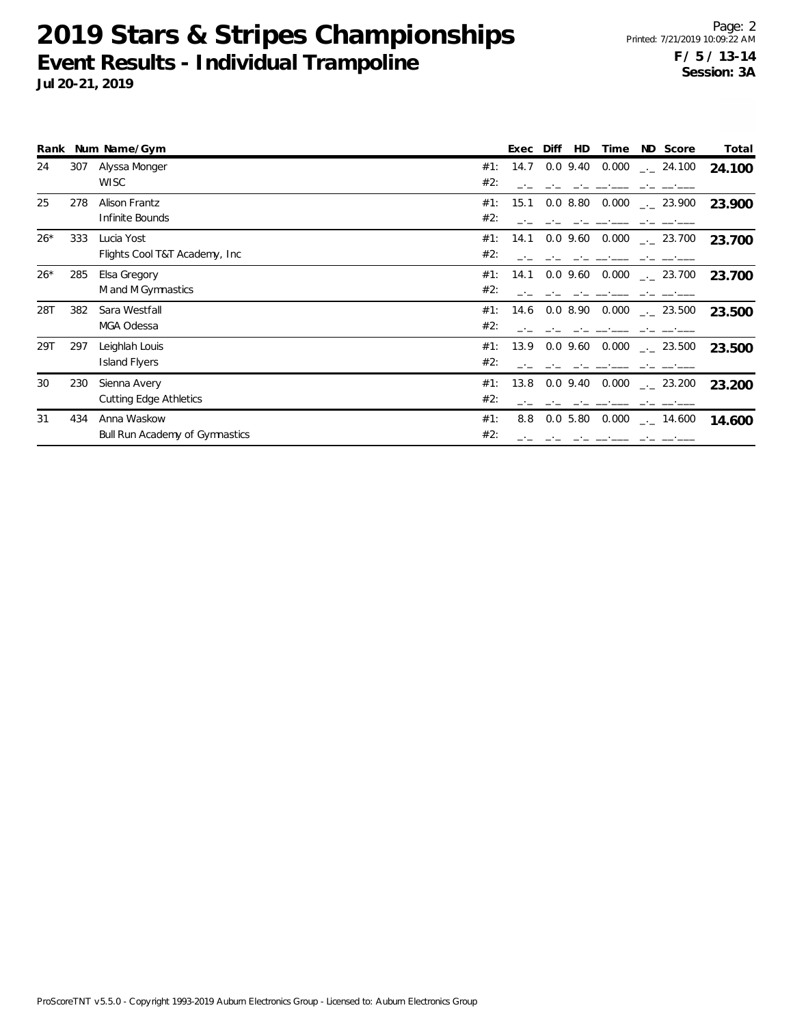|       |     | Rank Num Name/Gym                                    |            | Exec | Diff<br><b>HD</b> | Time  | ND Score                            | Total  |
|-------|-----|------------------------------------------------------|------------|------|-------------------|-------|-------------------------------------|--------|
| 24    | 307 | Alyssa Monger<br><b>WISC</b>                         | #1:<br>#2: | 14.7 | $0.0\,9.40$       |       | $0.000$ $_{\leftarrow}$ 24.100      | 24.100 |
| 25    | 278 | Alison Frantz<br>Infinite Bounds                     | #1:<br>#2: | 15.1 | $0.0\,$ $8.80$    |       | $0.000$ $_{\leftarrow}$ 23.900      | 23.900 |
| $26*$ | 333 | Lucia Yost<br>Flights Cool T&T Academy, Inc.         | #1:<br>#2: | 14.1 | $0.0\,9.60$       |       | $0.000$ $_{-1}$ 23.700              | 23.700 |
| $26*$ | 285 | Elsa Gregory<br>M and M Gymnastics                   | #1:<br>#2: | 14.1 |                   |       | $0.0$ 9.60 $0.000$ $_{\sim}$ 23.700 | 23.700 |
| 28T   | 382 | Sara Westfall<br>MGA Odessa                          | #1:<br>#2: | 14.6 | $0.0\,8.90$       |       | $0.000$ $_{\leftarrow}$ 23.500      | 23.500 |
| 29T   | 297 | Leighlah Louis<br><b>Island Flyers</b>               | #1:<br>#2: | 13.9 |                   |       | $0.0$ 9.60 $0.000$ $_{\sim}$ 23.500 | 23.500 |
| 30    | 230 | Sienna Avery<br><b>Cutting Edge Athletics</b>        | #1:<br>#2: | 13.8 | $0.0$ 9.40        |       | $0.000$ $_{\leftarrow}$ 23.200      | 23.200 |
| 31    | 434 | Anna Waskow<br><b>Bull Run Academy of Gymnastics</b> | #1:<br>#2: | 8.8  | 0.05.80           | 0.000 | 14.600                              | 14.600 |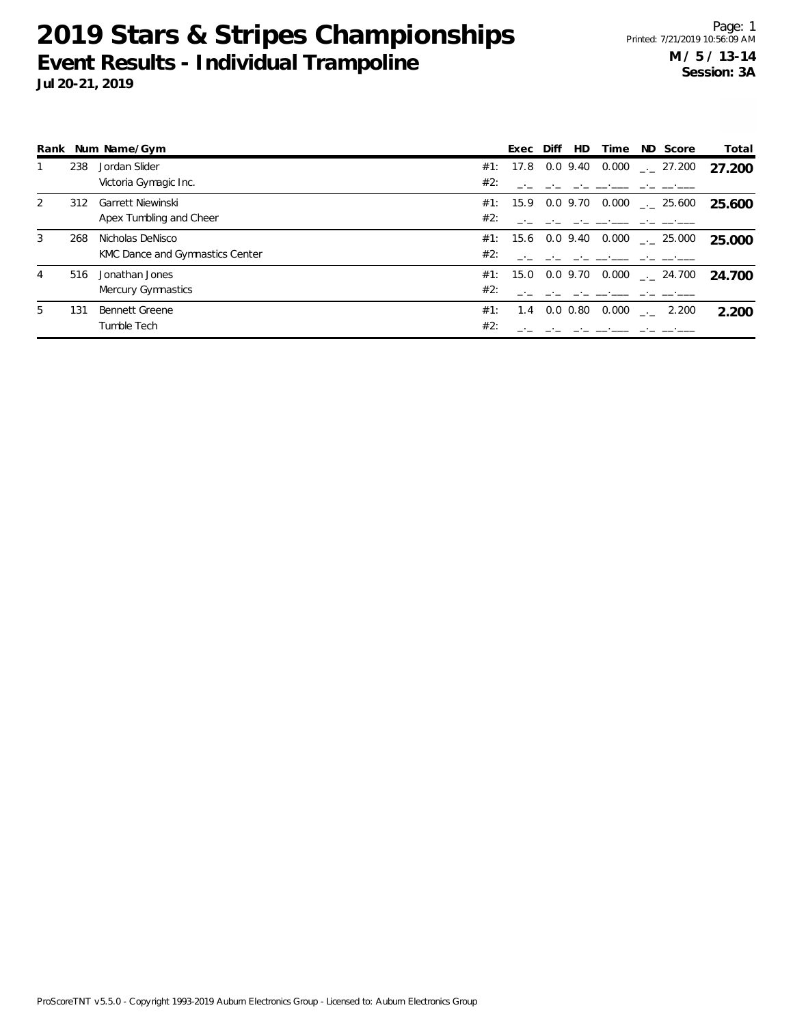|    |     | Rank Num Name/Gym               |     | Exec              | Diff | HD.         | Time  | ND Score                                | Total  |
|----|-----|---------------------------------|-----|-------------------|------|-------------|-------|-----------------------------------------|--------|
|    | 238 | Jordan Slider                   |     | #1: 17.8          |      | $0.0\,9.40$ |       | $0.000$ $_{\leftarrow}$ 27.200          | 27.200 |
|    |     | Victoria Gymagic Inc.           | #2: |                   |      |             |       |                                         |        |
| 2  | 312 | Garrett Niewinski               |     | #1: 15.9 0.0 9.70 |      |             |       | $0.000$ $_{\leftarrow}$ 25.600          | 25.600 |
|    |     | Apex Tumbling and Cheer         | #2: |                   |      |             |       |                                         |        |
| 3  | 268 | Nicholas DeNisco                |     |                   |      |             |       | #1: 15.6 0.0 9.40 0.000  25.000         | 25.000 |
|    |     | KMC Dance and Gymnastics Center | #2: |                   |      |             |       |                                         |        |
| 4  | 516 | Jonathan Jones                  |     |                   |      |             |       | #1: 15.0 0.0 9.70 0.000 $\ldots$ 24.700 | 24.700 |
|    |     | Mercury Gymnastics              | #2: |                   |      |             |       |                                         |        |
| 5. | 131 | Bennett Greene                  | #1: | 1.4               |      | $0.0\,0.80$ | 0.000 | 2.200                                   | 2.200  |
|    |     | Tumble Tech                     | #2: |                   |      |             |       |                                         |        |